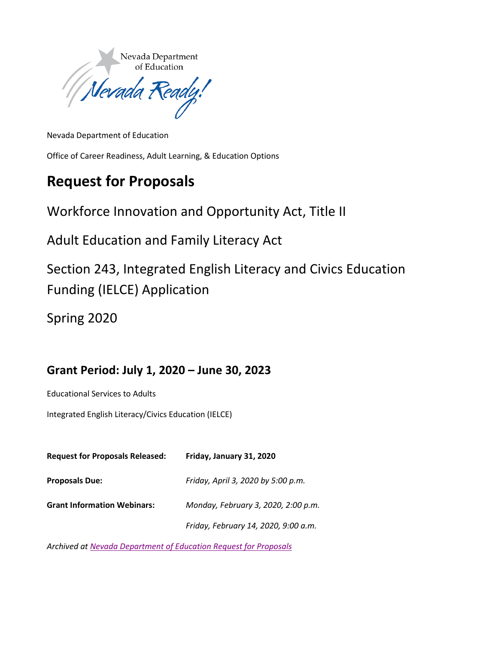

Nevada Department of Education

Office of Career Readiness, Adult Learning, & Education Options

# **Request for Proposals**

Workforce Innovation and Opportunity Act, Title II

Adult Education and Family Literacy Act

Section 243, Integrated English Literacy and Civics Education Funding (IELCE) Application

Spring 2020

# **Grant Period: July 1, 2020 – June 30, 2023**

Educational Services to Adults

Integrated English Literacy/Civics Education (IELCE)

| <b>Request for Proposals Released:</b> | Friday, January 31, 2020             |
|----------------------------------------|--------------------------------------|
| <b>Proposals Due:</b>                  | Friday, April 3, 2020 by 5:00 p.m.   |
| <b>Grant Information Webinars:</b>     | Monday, February 3, 2020, 2:00 p.m.  |
|                                        | Friday, February 14, 2020, 9:00 a.m. |

*Archived a[t Nevada Department of Education](http://www.doe.nv.gov/Grants/Home) Request for Proposals*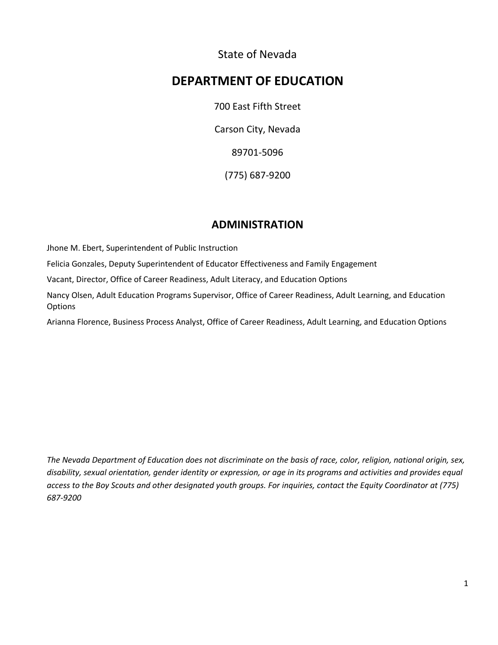State of Nevada

# **DEPARTMENT OF EDUCATION**

700 East Fifth Street

Carson City, Nevada

89701-5096

(775) 687-9200

# **ADMINISTRATION**

Jhone M. Ebert, Superintendent of Public Instruction

Felicia Gonzales, Deputy Superintendent of Educator Effectiveness and Family Engagement

Vacant, Director, Office of Career Readiness, Adult Literacy, and Education Options

Nancy Olsen, Adult Education Programs Supervisor, Office of Career Readiness, Adult Learning, and Education **Options** 

Arianna Florence, Business Process Analyst, Office of Career Readiness, Adult Learning, and Education Options

*The Nevada Department of Education does not discriminate on the basis of race, color, religion, national origin, sex, disability, sexual orientation, gender identity or expression, or age in its programs and activities and provides equal access to the Boy Scouts and other designated youth groups. For inquiries, contact the Equity Coordinator at (775) 687-9200*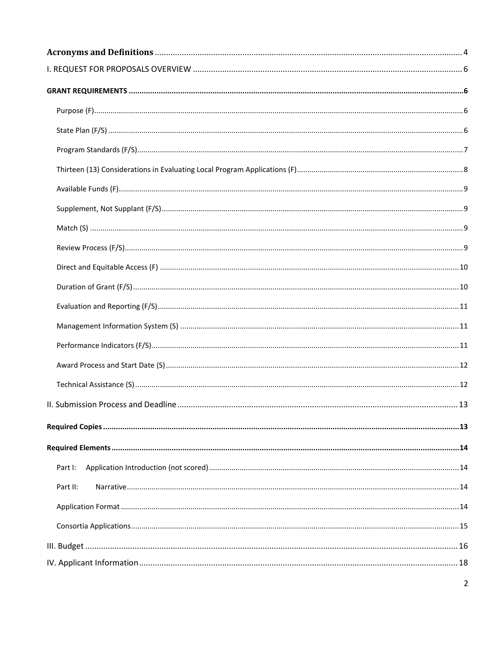| Part I:  |  |
|----------|--|
| Part II: |  |
|          |  |
|          |  |
|          |  |
|          |  |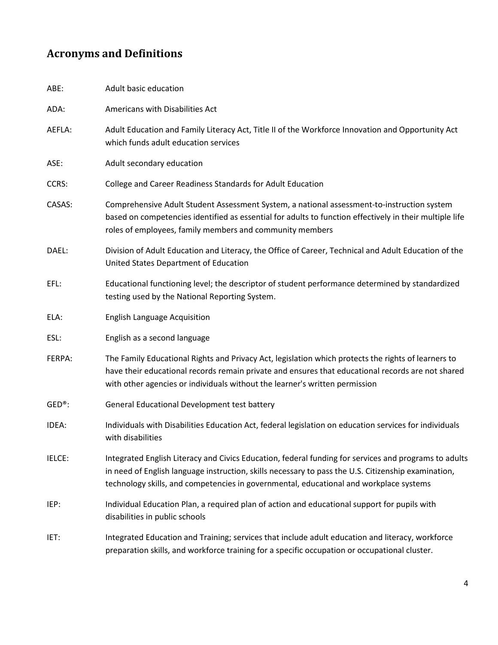# <span id="page-4-0"></span>**Acronyms and Definitions**

| ABE:     | Adult basic education                                                                                                                                                                                                                                                                                  |
|----------|--------------------------------------------------------------------------------------------------------------------------------------------------------------------------------------------------------------------------------------------------------------------------------------------------------|
| ADA:     | Americans with Disabilities Act                                                                                                                                                                                                                                                                        |
| AEFLA:   | Adult Education and Family Literacy Act, Title II of the Workforce Innovation and Opportunity Act<br>which funds adult education services                                                                                                                                                              |
| ASE:     | Adult secondary education                                                                                                                                                                                                                                                                              |
| CCRS:    | College and Career Readiness Standards for Adult Education                                                                                                                                                                                                                                             |
| CASAS:   | Comprehensive Adult Student Assessment System, a national assessment-to-instruction system<br>based on competencies identified as essential for adults to function effectively in their multiple life<br>roles of employees, family members and community members                                      |
| DAEL:    | Division of Adult Education and Literacy, the Office of Career, Technical and Adult Education of the<br>United States Department of Education                                                                                                                                                          |
| EFL:     | Educational functioning level; the descriptor of student performance determined by standardized<br>testing used by the National Reporting System.                                                                                                                                                      |
| ELA:     | <b>English Language Acquisition</b>                                                                                                                                                                                                                                                                    |
| ESL:     | English as a second language                                                                                                                                                                                                                                                                           |
| FERPA:   | The Family Educational Rights and Privacy Act, legislation which protects the rights of learners to<br>have their educational records remain private and ensures that educational records are not shared<br>with other agencies or individuals without the learner's written permission                |
| $GED®$ : | General Educational Development test battery                                                                                                                                                                                                                                                           |
| IDEA:    | Individuals with Disabilities Education Act, federal legislation on education services for individuals<br>with disabilities                                                                                                                                                                            |
| IELCE:   | Integrated English Literacy and Civics Education, federal funding for services and programs to adults<br>in need of English language instruction, skills necessary to pass the U.S. Citizenship examination,<br>technology skills, and competencies in governmental, educational and workplace systems |
| IEP:     | Individual Education Plan, a required plan of action and educational support for pupils with<br>disabilities in public schools                                                                                                                                                                         |
| IET:     | Integrated Education and Training; services that include adult education and literacy, workforce<br>preparation skills, and workforce training for a specific occupation or occupational cluster.                                                                                                      |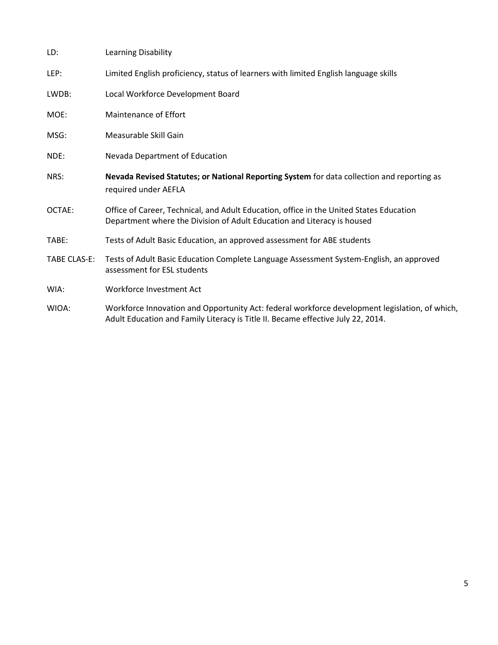| LD:          | Learning Disability                                                                                                                                                                |
|--------------|------------------------------------------------------------------------------------------------------------------------------------------------------------------------------------|
| LEP:         | Limited English proficiency, status of learners with limited English language skills                                                                                               |
| LWDB:        | Local Workforce Development Board                                                                                                                                                  |
| MOE:         | Maintenance of Effort                                                                                                                                                              |
| MSG:         | Measurable Skill Gain                                                                                                                                                              |
| NDE:         | Nevada Department of Education                                                                                                                                                     |
| NRS:         | Nevada Revised Statutes; or National Reporting System for data collection and reporting as<br>required under AEFLA                                                                 |
| OCTAE:       | Office of Career, Technical, and Adult Education, office in the United States Education<br>Department where the Division of Adult Education and Literacy is housed                 |
| TABE:        | Tests of Adult Basic Education, an approved assessment for ABE students                                                                                                            |
| TABE CLAS-E: | Tests of Adult Basic Education Complete Language Assessment System-English, an approved<br>assessment for ESL students                                                             |
| WIA:         | Workforce Investment Act                                                                                                                                                           |
| WIOA:        | Workforce Innovation and Opportunity Act: federal workforce development legislation, of which,<br>Adult Education and Family Literacy is Title II. Became effective July 22, 2014. |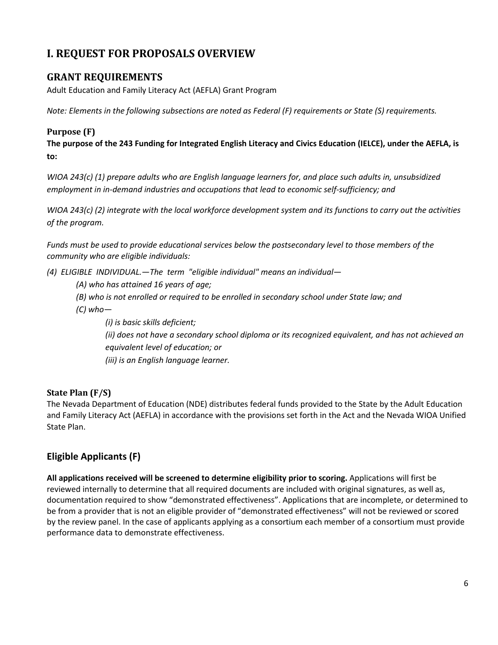# <span id="page-6-0"></span>**I. REQUEST FOR PROPOSALS OVERVIEW**

# <span id="page-6-1"></span>**GRANT REQUIREMENTS**

Adult Education and Family Literacy Act (AEFLA) Grant Program

*Note: Elements in the following subsections are noted as Federal (F) requirements or State (S) requirements.*

### <span id="page-6-2"></span>**Purpose (F)**

**The purpose of the 243 Funding for Integrated English Literacy and Civics Education (IELCE), under the AEFLA, is to:**

*WIOA 243(c) (1) prepare adults who are English language learners for, and place such adults in, unsubsidized employment in in-demand industries and occupations that lead to economic self-sufficiency; and* 

*WIOA 243(c) (2) integrate with the local workforce development system and its functions to carry out the activities of the program.* 

*Funds must be used to provide educational services below the postsecondary level to those members of the community who are eligible individuals:*

*(4) ELIGIBLE INDIVIDUAL.—The term "eligible individual" means an individual—*

*(A) who has attained 16 years of age;*

- *(B) who is not enrolled or required to be enrolled in secondary school under State law; and*
- *(C) who—*

*(i) is basic skills deficient; (ii) does not have a secondary school diploma or its recognized equivalent, and has not achieved an equivalent level of education; or (iii) is an English language learner.*

### <span id="page-6-3"></span>**State Plan (F/S)**

The Nevada Department of Education (NDE) distributes federal funds provided to the State by the Adult Education and Family Literacy Act (AEFLA) in accordance with the provisions set forth in the Act and the Nevada WIOA Unified State Plan.

# **Eligible Applicants (F)**

**All applications received will be screened to determine eligibility prior to scoring.** Applications will first be reviewed internally to determine that all required documents are included with original signatures, as well as, documentation required to show "demonstrated effectiveness". Applications that are incomplete, or determined to be from a provider that is not an eligible provider of "demonstrated effectiveness" will not be reviewed or scored by the review panel. In the case of applicants applying as a consortium each member of a consortium must provide performance data to demonstrate effectiveness.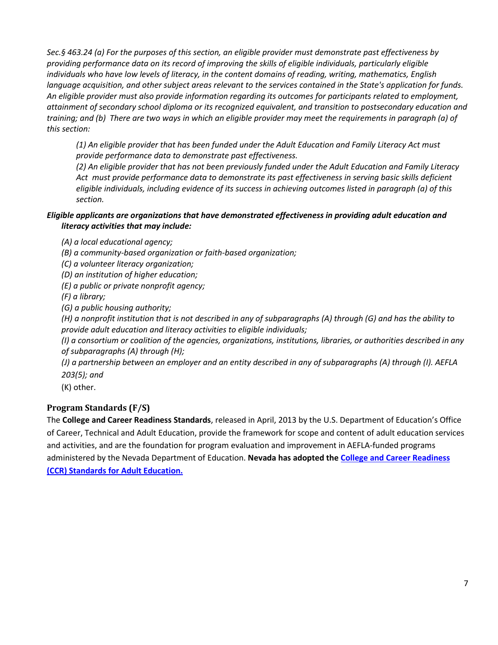*Sec.§ 463.24 (a) For the purposes of this section, an eligible provider must demonstrate past effectiveness by providing performance data on its record of improving the skills of eligible individuals, particularly eligible individuals who have low levels of literacy, in the content domains of reading, writing, mathematics, English language acquisition, and other subject areas relevant to the services contained in the State's application for funds. An eligible provider must also provide information regarding its outcomes for participants related to employment, attainment of secondary school diploma or its recognized equivalent, and transition to postsecondary education and training; and (b) There are two ways in which an eligible provider may meet the requirements in paragraph (a) of this section:*

*(1) An eligible provider that has been funded under the Adult Education and Family Literacy Act must provide performance data to demonstrate past effectiveness.*

*(2) An eligible provider that has not been previously funded under the Adult Education and Family Literacy Act must provide performance data to demonstrate its past effectiveness in serving basic skills deficient eligible individuals, including evidence of its success in achieving outcomes listed in paragraph (a) of this section.*

### *Eligible applicants are organizations that have demonstrated effectiveness in providing adult education and literacy activities that may include:*

*(A) a local educational agency;* 

- *(B) a community-based organization or faith-based organization;*
- *(C) a volunteer literacy organization;*
- *(D) an institution of higher education;*

*(E) a public or private nonprofit agency;* 

*(F) a library;* 

*(G) a public housing authority;* 

*(H) a nonprofit institution that is not described in any of subparagraphs (A) through (G) and has the ability to provide adult education and literacy activities to eligible individuals;*

*(I) a consortium or coalition of the agencies, organizations, institutions, libraries, or authorities described in any of subparagraphs (A) through (H);* 

*(J) a partnership between an employer and an entity described in any of subparagraphs (A) through (I). AEFLA 203(5); and*

(K) other.

### <span id="page-7-0"></span>**Program Standards (F/S)**

The **College and Career Readiness Standards**, released in April, 2013 by the U.S. Department of Education's Office of Career, Technical and Adult Education, provide the framework for scope and content of adult education services and activities, and are the foundation for program evaluation and improvement in AEFLA-funded programs administered by the Nevada Department of Education. **Nevada has adopted the [College and Career Readiness](https://lincs.ed.gov/publications/pdf/CCRStandardsAdultEd.pdf)  [\(CCR\) Standards for Adult Education.](https://lincs.ed.gov/publications/pdf/CCRStandardsAdultEd.pdf)**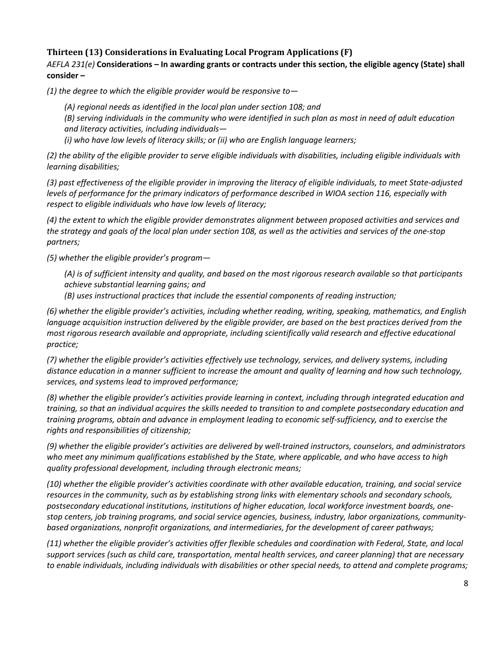### <span id="page-8-0"></span>**Thirteen (13) Considerations in Evaluating Local Program Applications (F)**

*AEFLA 231(e)* **Considerations – In awarding grants or contracts under this section, the eligible agency (State) shall consider –**

*(1) the degree to which the eligible provider would be responsive to—*

*(A) regional needs as identified in the local plan under section 108; and* 

*(B) serving individuals in the community who were identified in such plan as most in need of adult education and literacy activities, including individuals—*

*(i) who have low levels of literacy skills; or (ii) who are English language learners;* 

*(2) the ability of the eligible provider to serve eligible individuals with disabilities, including eligible individuals with learning disabilities;* 

*(3) past effectiveness of the eligible provider in improving the literacy of eligible individuals, to meet State-adjusted levels of performance for the primary indicators of performance described in WIOA section 116, especially with respect to eligible individuals who have low levels of literacy;* 

*(4) the extent to which the eligible provider demonstrates alignment between proposed activities and services and the strategy and goals of the local plan under section 108, as well as the activities and services of the one-stop partners;* 

*(5) whether the eligible provider's program—*

*(A) is of sufficient intensity and quality, and based on the most rigorous research available so that participants achieve substantial learning gains; and* 

*(B) uses instructional practices that include the essential components of reading instruction;* 

*(6) whether the eligible provider's activities, including whether reading, writing, speaking, mathematics, and English*  language acquisition instruction delivered by the eligible provider, are based on the best practices derived from the *most rigorous research available and appropriate, including scientifically valid research and effective educational practice;* 

*(7) whether the eligible provider's activities effectively use technology, services, and delivery systems, including distance education in a manner sufficient to increase the amount and quality of learning and how such technology, services, and systems lead to improved performance;* 

*(8) whether the eligible provider's activities provide learning in context, including through integrated education and training, so that an individual acquires the skills needed to transition to and complete postsecondary education and training programs, obtain and advance in employment leading to economic self-sufficiency, and to exercise the rights and responsibilities of citizenship;* 

*(9) whether the eligible provider's activities are delivered by well-trained instructors, counselors, and administrators who meet any minimum qualifications established by the State, where applicable, and who have access to high quality professional development, including through electronic means;* 

*(10) whether the eligible provider's activities coordinate with other available education, training, and social service resources in the community, such as by establishing strong links with elementary schools and secondary schools, postsecondary educational institutions, institutions of higher education, local workforce investment boards, onestop centers, job training programs, and social service agencies, business, industry, labor organizations, communitybased organizations, nonprofit organizations, and intermediaries, for the development of career pathways;* 

*(11) whether the eligible provider's activities offer flexible schedules and coordination with Federal, State, and local support services (such as child care, transportation, mental health services, and career planning) that are necessary to enable individuals, including individuals with disabilities or other special needs, to attend and complete programs;*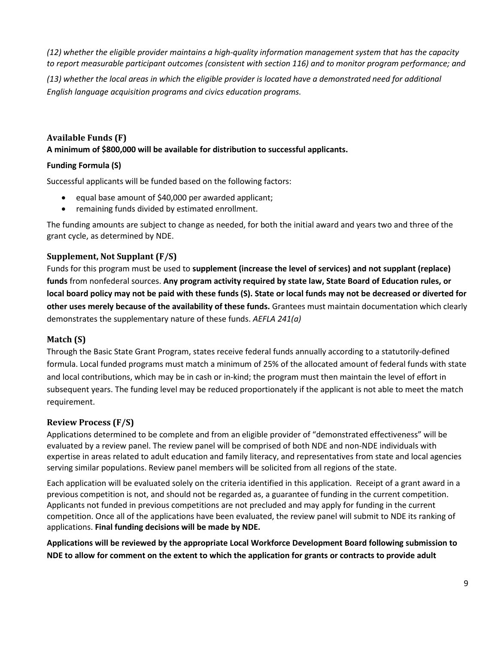*(12) whether the eligible provider maintains a high-quality information management system that has the capacity to report measurable participant outcomes (consistent with section 116) and to monitor program performance; and* 

*(13) whether the local areas in which the eligible provider is located have a demonstrated need for additional English language acquisition programs and civics education programs.*

# <span id="page-9-0"></span>**Available Funds (F) A minimum of \$800,000 will be available for distribution to successful applicants.**

### **Funding Formula (S)**

Successful applicants will be funded based on the following factors:

- equal base amount of \$40,000 per awarded applicant;
- remaining funds divided by estimated enrollment.

The funding amounts are subject to change as needed, for both the initial award and years two and three of the grant cycle, as determined by NDE.

### <span id="page-9-1"></span>**Supplement, Not Supplant (F/S)**

Funds for this program must be used to **supplement (increase the level of services) and not supplant (replace) funds** from nonfederal sources. **Any program activity required by state law, State Board of Education rules, or local board policy may not be paid with these funds (S). State or local funds may not be decreased or diverted for other uses merely because of the availability of these funds.** Grantees must maintain documentation which clearly demonstrates the supplementary nature of these funds. *AEFLA 241(a)*

### <span id="page-9-2"></span>**Match (S)**

Through the Basic State Grant Program, states receive federal funds annually according to a statutorily-defined formula. Local funded programs must match a minimum of 25% of the allocated amount of federal funds with state and local contributions, which may be in cash or in-kind; the program must then maintain the level of effort in subsequent years. The funding level may be reduced proportionately if the applicant is not able to meet the match requirement.

### <span id="page-9-3"></span>**Review Process (F/S)**

Applications determined to be complete and from an eligible provider of "demonstrated effectiveness" will be evaluated by a review panel. The review panel will be comprised of both NDE and non-NDE individuals with expertise in areas related to adult education and family literacy, and representatives from state and local agencies serving similar populations. Review panel members will be solicited from all regions of the state.

Each application will be evaluated solely on the criteria identified in this application. Receipt of a grant award in a previous competition is not, and should not be regarded as, a guarantee of funding in the current competition. Applicants not funded in previous competitions are not precluded and may apply for funding in the current competition. Once all of the applications have been evaluated, the review panel will submit to NDE its ranking of applications. **Final funding decisions will be made by NDE.**

**Applications will be reviewed by the appropriate Local Workforce Development Board following submission to NDE to allow for comment on the extent to which the application for grants or contracts to provide adult**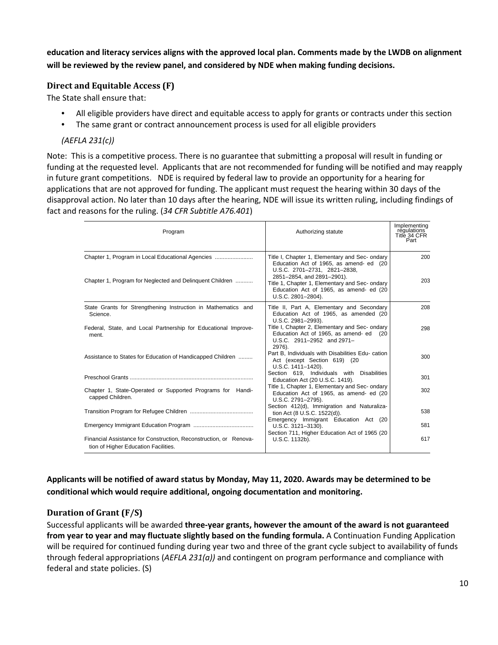**education and literacy services aligns with the approved local plan. Comments made by the LWDB on alignment will be reviewed by the review panel, and considered by NDE when making funding decisions.**

### <span id="page-10-0"></span>**Direct and Equitable Access (F)**

The State shall ensure that:

- All eligible providers have direct and equitable access to apply for grants or contracts under this section
- The same grant or contract announcement process is used for all eligible providers

#### *(AEFLA 231(c))*

Note: This is a competitive process. There is no guarantee that submitting a proposal will result in funding or funding at the requested level. Applicants that are not recommended for funding will be notified and may reapply in future grant competitions. NDE is required by federal law to provide an opportunity for a hearing for applications that are not approved for funding. The applicant must request the hearing within 30 days of the disapproval action. No later than 10 days after the hearing, NDE will issue its written ruling, including findings of fact and reasons for the ruling. (*34 CFR Subtitle A76.401*)

| Program                                                                                                   | Authorizing statute                                                                                                                                                           | Implementing<br>regulations<br>Title 34 CFR<br>Part |
|-----------------------------------------------------------------------------------------------------------|-------------------------------------------------------------------------------------------------------------------------------------------------------------------------------|-----------------------------------------------------|
|                                                                                                           | Title I, Chapter 1, Elementary and Sec- ondary<br>Education Act of 1965, as amend- ed (20                                                                                     | 200                                                 |
| Chapter 1, Program for Neglected and Delinquent Children                                                  | U.S.C. 2701-2731, 2821-2838,<br>2851-2854, and 2891-2901).<br>Title 1, Chapter 1, Elementary and Sec- ondary<br>Education Act of 1965, as amend- ed (20<br>U.S.C. 2801-2804). | 203                                                 |
| State Grants for Strengthening Instruction in Mathematics and<br>Science.                                 | Title II, Part A, Elementary and Secondary<br>Education Act of 1965, as amended (20<br>U.S.C. 2981-2993).                                                                     | 208                                                 |
| Federal, State, and Local Partnership for Educational Improve-<br>ment.                                   | Title I, Chapter 2, Elementary and Sec- ondary<br>Education Act of 1965, as amend- ed<br>(20)<br>U.S.C. 2911-2952 and 2971-<br>2976).                                         | 298                                                 |
| Assistance to States for Education of Handicapped Children                                                | Part B, Individuals with Disabilities Edu- cation<br>Act (except Section 619) (20<br>U.S.C. 1411-1420).                                                                       | 300                                                 |
| Preschool Grants                                                                                          | Section 619, Individuals with Disabilities<br>Education Act (20 U.S.C. 1419).                                                                                                 | 301                                                 |
| Chapter 1, State-Operated or Supported Programs for Handi-<br>capped Children.                            | Title 1, Chapter 1, Elementary and Sec- ondary<br>Education Act of 1965, as amend- ed (20<br>U.S.C. 2791-2795).                                                               | 302                                                 |
|                                                                                                           | Section 412(d), Immigration and Naturaliza-<br>tion Act (8 U.S.C. 1522(d)).                                                                                                   | 538                                                 |
|                                                                                                           | Emergency Immigrant Education Act (20<br>U.S.C. 3121-3130).<br>Section 711, Higher Education Act of 1965 (20                                                                  | 581                                                 |
| Financial Assistance for Construction, Reconstruction, or Renova-<br>tion of Higher Education Facilities. | U.S.C. 1132b).                                                                                                                                                                | 617                                                 |

**Applicants will be notified of award status by Monday, May 11, 2020. Awards may be determined to be conditional which would require additional, ongoing documentation and monitoring.** 

#### <span id="page-10-1"></span>**Duration of Grant (F/S)**

Successful applicants will be awarded **three‐year grants, however the amount of the award is not guaranteed from year to year and may fluctuate slightly based on the funding formula.** A Continuation Funding Application will be required for continued funding during year two and three of the grant cycle subject to availability of funds through federal appropriations (*AEFLA 231(a))* and contingent on program performance and compliance with federal and state policies. (S)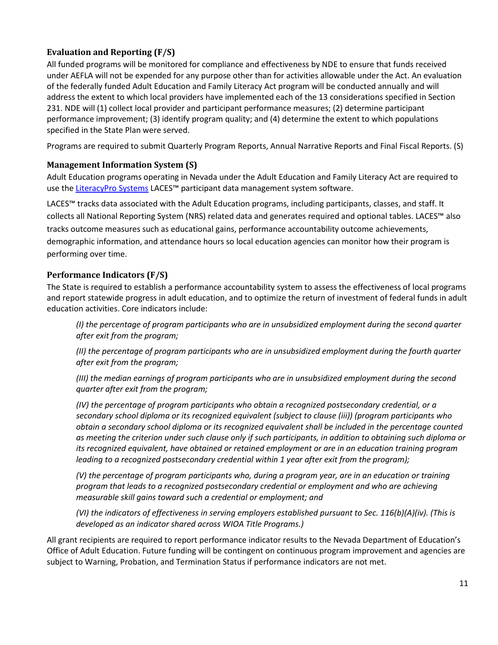## <span id="page-11-0"></span>**Evaluation and Reporting (F/S)**

All funded programs will be monitored for compliance and effectiveness by NDE to ensure that funds received under AEFLA will not be expended for any purpose other than for activities allowable under the Act. An evaluation of the federally funded Adult Education and Family Literacy Act program will be conducted annually and will address the extent to which local providers have implemented each of the 13 considerations specified in Section 231. NDE will (1) collect local provider and participant performance measures; (2) determine participant performance improvement; (3) identify program quality; and (4) determine the extent to which populations specified in the State Plan were served.

Programs are required to submit Quarterly Program Reports, Annual Narrative Reports and Final Fiscal Reports. (S)

### <span id="page-11-1"></span>**Management Information System (S)**

Adult Education programs operating in Nevada under the Adult Education and Family Literacy Act are required to use the [LiteracyPro Systems](http://www.literacypro.com/) LACES™ participant data management system software.

LACES™ tracks data associated with the Adult Education programs, including participants, classes, and staff. It collects all National Reporting System (NRS) related data and generates required and optional tables. LACES™ also tracks outcome measures such as educational gains, performance accountability outcome achievements, demographic information, and attendance hours so local education agencies can monitor how their program is performing over time.

### <span id="page-11-2"></span>**Performance Indicators (F/S)**

The State is required to establish a performance accountability system to assess the effectiveness of local programs and report statewide progress in adult education, and to optimize the return of investment of federal funds in adult education activities. Core indicators include:

*(I) the percentage of program participants who are in unsubsidized employment during the second quarter after exit from the program;* 

*(II) the percentage of program participants who are in unsubsidized employment during the fourth quarter after exit from the program;* 

*(III) the median earnings of program participants who are in unsubsidized employment during the second quarter after exit from the program;* 

*(IV) the percentage of program participants who obtain a recognized postsecondary credential, or a secondary school diploma or its recognized equivalent (subject to clause (iii)) (program participants who obtain a secondary school diploma or its recognized equivalent shall be included in the percentage counted as meeting the criterion under such clause only if such participants, in addition to obtaining such diploma or its recognized equivalent, have obtained or retained employment or are in an education training program leading to a recognized postsecondary credential within 1 year after exit from the program);* 

*(V) the percentage of program participants who, during a program year, are in an education or training program that leads to a recognized postsecondary credential or employment and who are achieving measurable skill gains toward such a credential or employment; and*

*(VI) the indicators of effectiveness in serving employers established pursuant to Sec. 116(b)(A)(iv). (This is developed as an indicator shared across WIOA Title Programs.)*

All grant recipients are required to report performance indicator results to the Nevada Department of Education's Office of Adult Education. Future funding will be contingent on continuous program improvement and agencies are subject to Warning, Probation, and Termination Status if performance indicators are not met.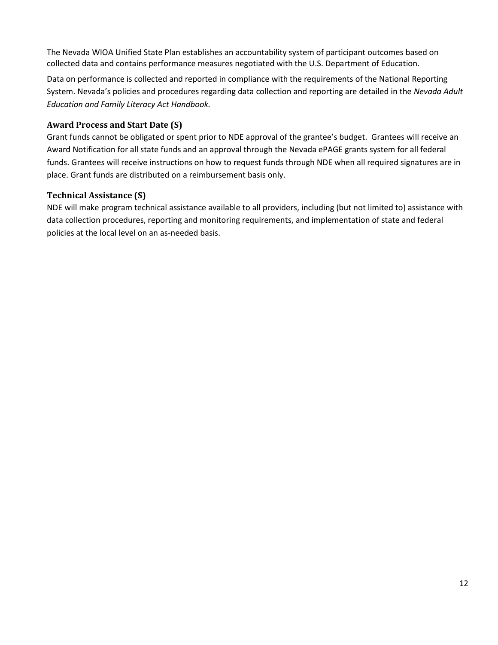The Nevada WIOA Unified State Plan establishes an accountability system of participant outcomes based on collected data and contains performance measures negotiated with the U.S. Department of Education.

Data on performance is collected and reported in compliance with the requirements of the National Reporting System. Nevada's policies and procedures regarding data collection and reporting are detailed in the *Nevada Adult Education and Family Literacy Act Handbook.*

### <span id="page-12-0"></span>**Award Process and Start Date (S)**

Grant funds cannot be obligated or spent prior to NDE approval of the grantee's budget. Grantees will receive an Award Notification for all state funds and an approval through the Nevada ePAGE grants system for all federal funds. Grantees will receive instructions on how to request funds through NDE when all required signatures are in place. Grant funds are distributed on a reimbursement basis only.

### <span id="page-12-1"></span>**Technical Assistance (S)**

NDE will make program technical assistance available to all providers, including (but not limited to) assistance with data collection procedures, reporting and monitoring requirements, and implementation of state and federal policies at the local level on an as-needed basis.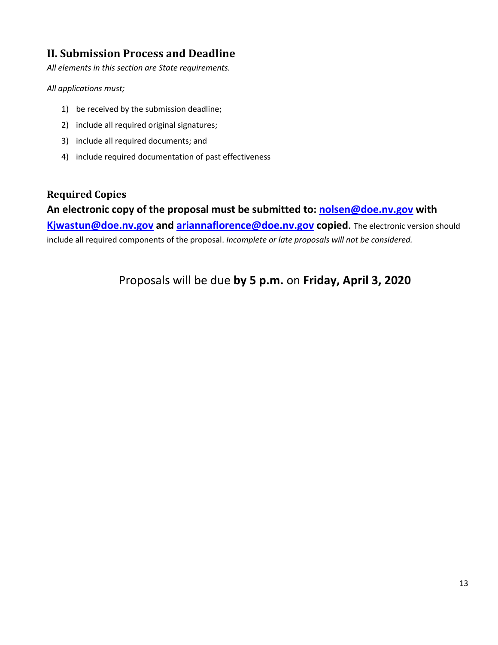# <span id="page-13-0"></span>**II. Submission Process and Deadline**

*All elements in this section are State requirements.* 

*All applications must;*

- 1) be received by the submission deadline;
- 2) include all required original signatures;
- 3) include all required documents; and
- 4) include required documentation of past effectiveness

# <span id="page-13-1"></span>**Required Copies**

**An electronic copy of the proposal must be submitted to: [nolsen@doe.nv.gov](mailto:nolsen@doe.nv.gov) with** 

**[Kjwastun@doe.nv.gov](mailto:Kjwastun@doe.nv.gov) and [ariannaflorence@doe.nv.gov](mailto:ariannaflorence@doe.nv.gov) copied**. The electronic version should include all required components of the proposal. *Incomplete or late proposals will not be considered.*

Proposals will be due **by 5 p.m.** on **Friday, April 3, 2020**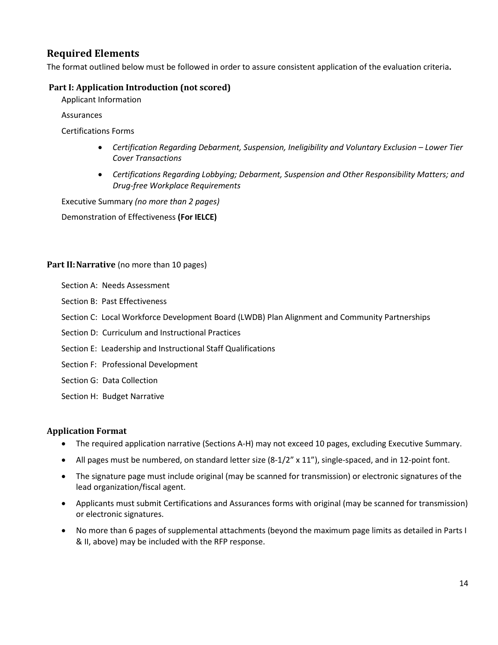# <span id="page-14-0"></span>**Required Elements**

The format outlined below must be followed in order to assure consistent application of the evaluation criteria**.** 

### <span id="page-14-1"></span>**Part I: Application Introduction (not scored)**

Applicant Information

- Assurances
- Certifications Forms
	- *Certification Regarding Debarment, Suspension, Ineligibility and Voluntary Exclusion Lower Tier Cover Transactions*
	- *Certifications Regarding Lobbying; Debarment, Suspension and Other Responsibility Matters; and Drug-free Workplace Requirements*

Executive Summary *(no more than 2 pages)*

Demonstration of Effectiveness **(For IELCE)** 

#### <span id="page-14-2"></span>Part II: Narrative (no more than 10 pages)

- Section A: Needs Assessment
- Section B: Past Effectiveness
- Section C: Local Workforce Development Board (LWDB) Plan Alignment and Community Partnerships
- Section D: Curriculum and Instructional Practices
- Section E: Leadership and Instructional Staff Qualifications
- Section F: Professional Development
- Section G: Data Collection
- Section H: Budget Narrative

#### <span id="page-14-3"></span>**Application Format**

- The required application narrative (Sections A-H) may not exceed 10 pages, excluding Executive Summary.
- All pages must be numbered, on standard letter size (8-1/2" x 11"), single-spaced, and in 12-point font.
- The signature page must include original (may be scanned for transmission) or electronic signatures of the lead organization/fiscal agent.
- Applicants must submit Certifications and Assurances forms with original (may be scanned for transmission) or electronic signatures.
- No more than 6 pages of supplemental attachments (beyond the maximum page limits as detailed in Parts I & II, above) may be included with the RFP response.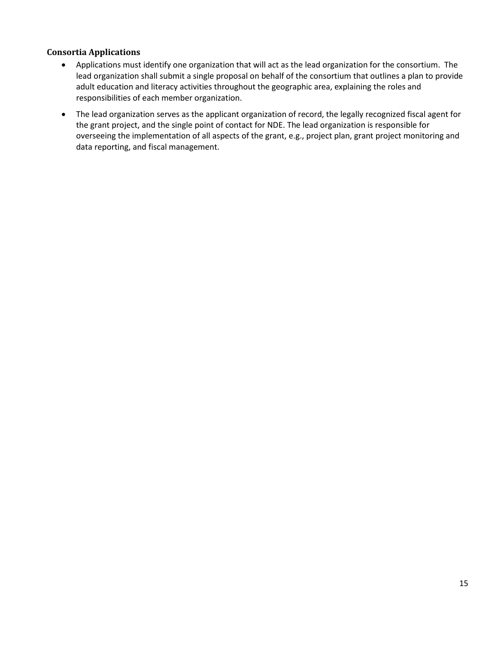#### <span id="page-15-0"></span>**Consortia Applications**

- Applications must identify one organization that will act as the lead organization for the consortium. The lead organization shall submit a single proposal on behalf of the consortium that outlines a plan to provide adult education and literacy activities throughout the geographic area, explaining the roles and responsibilities of each member organization.
- The lead organization serves as the applicant organization of record, the legally recognized fiscal agent for the grant project, and the single point of contact for NDE. The lead organization is responsible for overseeing the implementation of all aspects of the grant, e.g., project plan, grant project monitoring and data reporting, and fiscal management.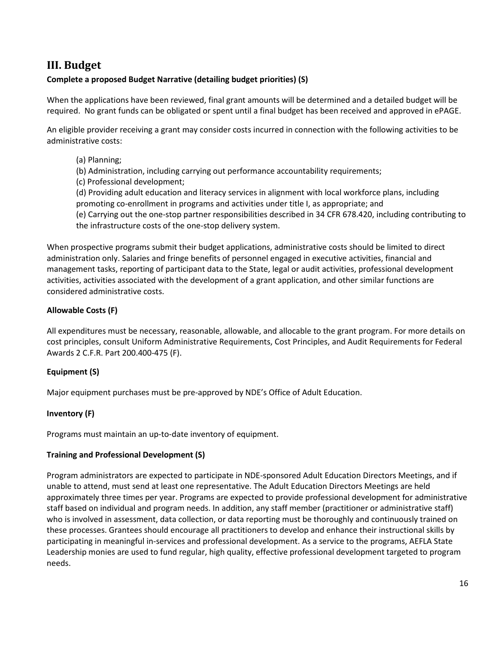# <span id="page-16-0"></span>**III. Budget**

### **Complete a proposed Budget Narrative (detailing budget priorities) (S)**

When the applications have been reviewed, final grant amounts will be determined and a detailed budget will be required. No grant funds can be obligated or spent until a final budget has been received and approved in ePAGE.

An eligible provider receiving a grant may consider costs incurred in connection with the following activities to be administrative costs:

- (a) Planning;
- (b) Administration, including carrying out performance accountability requirements;
- (c) Professional development;

(d) Providing adult education and literacy services in alignment with local workforce plans, including promoting co-enrollment in programs and activities under title I, as appropriate; and

(e) Carrying out the one-stop partner responsibilities described in 34 CFR 678.420, including contributing to the infrastructure costs of the one-stop delivery system.

When prospective programs submit their budget applications, administrative costs should be limited to direct administration only. Salaries and fringe benefits of personnel engaged in executive activities, financial and management tasks, reporting of participant data to the State, legal or audit activities, professional development activities, activities associated with the development of a grant application, and other similar functions are considered administrative costs.

### **Allowable Costs (F)**

All expenditures must be necessary, reasonable, allowable, and allocable to the grant program. For more details on cost principles, consult Uniform Administrative Requirements, Cost Principles, and Audit Requirements for Federal Awards 2 C.F.R. Part 200.400-475 (F).

### **Equipment (S)**

Major equipment purchases must be pre-approved by NDE's Office of Adult Education.

#### **Inventory (F)**

Programs must maintain an up-to-date inventory of equipment.

#### **Training and Professional Development (S)**

Program administrators are expected to participate in NDE-sponsored Adult Education Directors Meetings, and if unable to attend, must send at least one representative. The Adult Education Directors Meetings are held approximately three times per year. Programs are expected to provide professional development for administrative staff based on individual and program needs. In addition, any staff member (practitioner or administrative staff) who is involved in assessment, data collection, or data reporting must be thoroughly and continuously trained on these processes. Grantees should encourage all practitioners to develop and enhance their instructional skills by participating in meaningful in-services and professional development. As a service to the programs, AEFLA State Leadership monies are used to fund regular, high quality, effective professional development targeted to program needs.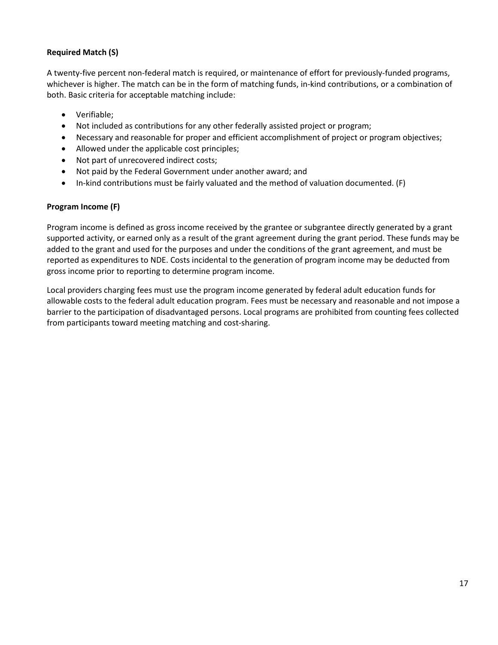#### **Required Match (S)**

A twenty-five percent non-federal match is required, or maintenance of effort for previously-funded programs, whichever is higher. The match can be in the form of matching funds, in-kind contributions, or a combination of both. Basic criteria for acceptable matching include:

- Verifiable;
- Not included as contributions for any other federally assisted project or program;
- Necessary and reasonable for proper and efficient accomplishment of project or program objectives;
- Allowed under the applicable cost principles;
- Not part of unrecovered indirect costs;
- Not paid by the Federal Government under another award; and
- In-kind contributions must be fairly valuated and the method of valuation documented. (F)

#### **Program Income (F)**

Program income is defined as gross income received by the grantee or subgrantee directly generated by a grant supported activity, or earned only as a result of the grant agreement during the grant period. These funds may be added to the grant and used for the purposes and under the conditions of the grant agreement, and must be reported as expenditures to NDE. Costs incidental to the generation of program income may be deducted from gross income prior to reporting to determine program income.

Local providers charging fees must use the program income generated by federal adult education funds for allowable costs to the federal adult education program. Fees must be necessary and reasonable and not impose a barrier to the participation of disadvantaged persons. Local programs are prohibited from counting fees collected from participants toward meeting matching and cost-sharing.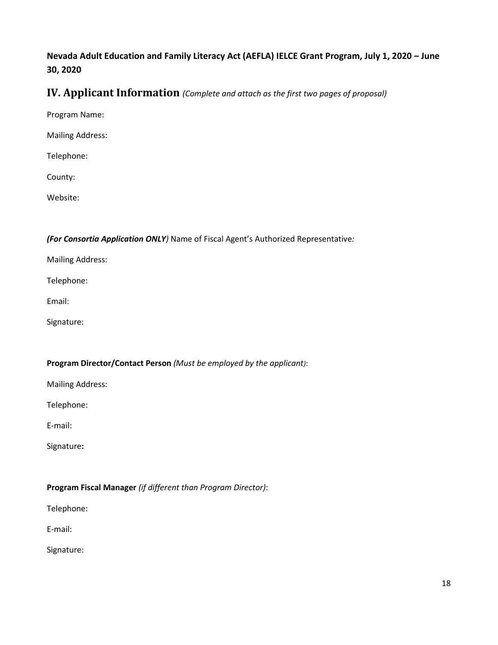# **Nevada Adult Education and Family Literacy Act (AEFLA) IELCE Grant Program, July 1, 2020 – June 30, 2020**

# <span id="page-18-0"></span>**IV. Applicant Information** *(Complete and attach as the first two pages of proposal)*

Program Name:

Mailing Address:

Telephone:

County:

Website:

#### *(For Consortia Application ONLY)* Name of Fiscal Agent's Authorized Representative*:*

Mailing Address:

Telephone:

Email:

Signature:

#### **Program Director/Contact Person** *(Must be employed by the applicant)*:

Mailing Address:

Telephone:

E-mail:

Signature**:**

#### **Program Fiscal Manager** *(if different than Program Director)*:

Telephone:

E-mail:

Signature: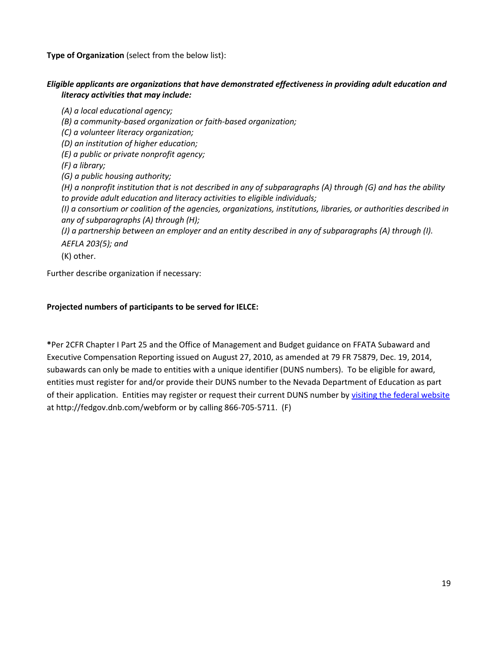**Type of Organization** (select from the below list):

#### *Eligible applicants are organizations that have demonstrated effectiveness in providing adult education and literacy activities that may include:*

*(A) a local educational agency; (B) a community-based organization or faith-based organization; (C) a volunteer literacy organization; (D) an institution of higher education; (E) a public or private nonprofit agency; (F) a library; (G) a public housing authority; (H) a nonprofit institution that is not described in any of subparagraphs (A) through (G) and has the ability to provide adult education and literacy activities to eligible individuals; (I) a consortium or coalition of the agencies, organizations, institutions, libraries, or authorities described in any of subparagraphs (A) through (H); (J) a partnership between an employer and an entity described in any of subparagraphs (A) through (I). AEFLA 203(5); and* (K) other.

Further describe organization if necessary:

#### **Projected numbers of participants to be served for IELCE:**

**\***Per 2CFR Chapter I Part 25 and the Office of Management and Budget guidance on FFATA Subaward and Executive Compensation Reporting issued on August 27, 2010, as amended at 79 FR 75879, Dec. 19, 2014, subawards can only be made to entities with a unique identifier (DUNS numbers). To be eligible for award, entities must register for and/or provide their DUNS number to the Nevada Department of Education as part of their application. Entities may register or request their current DUNS number by [visiting the federal website](http://fedgov.dnb.com/webform) at http://fedgov.dnb.com/webform or by calling 866-705-5711. (F)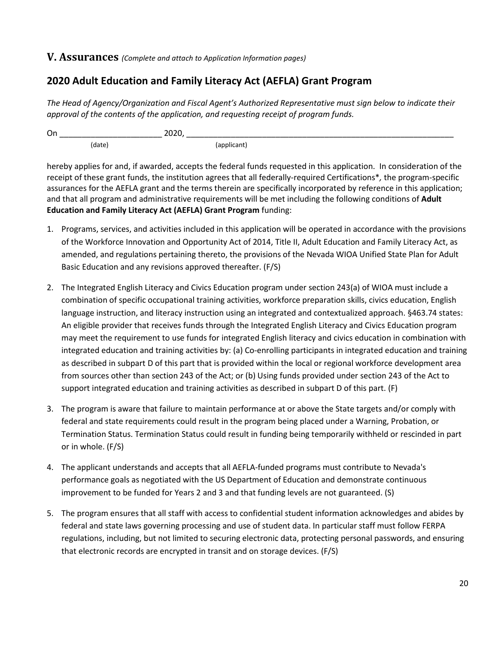## <span id="page-20-0"></span>**V. Assurances** *(Complete and attach to Application Information pages)*

# **2020 Adult Education and Family Literacy Act (AEFLA) Grant Program**

*The Head of Agency/Organization and Fiscal Agent's Authorized Representative must sign below to indicate their approval of the contents of the application, and requesting receipt of program funds.*

On \_\_\_\_\_\_\_\_\_\_\_\_\_\_\_\_\_\_\_\_\_\_\_ 2020, \_\_\_\_\_\_\_\_\_\_\_\_\_\_\_\_\_\_\_\_\_\_\_\_\_\_\_\_\_\_\_\_\_\_\_\_\_\_\_\_\_\_\_\_\_\_\_\_\_\_\_\_\_\_\_\_\_\_\_\_ (date) (applicant)

hereby applies for and, if awarded, accepts the federal funds requested in this application. In consideration of the receipt of these grant funds, the institution agrees that all federally-required Certifications\**,* the program-specific assurances for the AEFLA grant and the terms therein are specifically incorporated by reference in this application; and that all program and administrative requirements will be met including the following conditions of **Adult Education and Family Literacy Act (AEFLA) Grant Program** funding:

- 1. Programs, services, and activities included in this application will be operated in accordance with the provisions of the Workforce Innovation and Opportunity Act of 2014, Title II, Adult Education and Family Literacy Act, as amended, and regulations pertaining thereto, the provisions of the Nevada WIOA Unified State Plan for Adult Basic Education and any revisions approved thereafter. (F/S)
- 2. The Integrated English Literacy and Civics Education program under section 243(a) of WIOA must include a combination of specific occupational training activities, workforce preparation skills, civics education, English language instruction, and literacy instruction using an integrated and contextualized approach. §463.74 states: An eligible provider that receives funds through the Integrated English Literacy and Civics Education program may meet the requirement to use funds for integrated English literacy and civics education in combination with integrated education and training activities by: (a) Co-enrolling participants in integrated education and training as described in subpart D of this part that is provided within the local or regional workforce development area from sources other than section 243 of the Act; or (b) Using funds provided under section 243 of the Act to support integrated education and training activities as described in subpart D of this part. (F)
- 3. The program is aware that failure to maintain performance at or above the State targets and/or comply with federal and state requirements could result in the program being placed under a Warning, Probation, or Termination Status. Termination Status could result in funding being temporarily withheld or rescinded in part or in whole. (F/S)
- 4. The applicant understands and accepts that all AEFLA-funded programs must contribute to Nevada's performance goals as negotiated with the US Department of Education and demonstrate continuous improvement to be funded for Years 2 and 3 and that funding levels are not guaranteed. (S)
- 5. The program ensures that all staff with access to confidential student information acknowledges and abides by federal and state laws governing processing and use of student data. In particular staff must follow FERPA regulations, including, but not limited to securing electronic data, protecting personal passwords, and ensuring that electronic records are encrypted in transit and on storage devices. (F/S)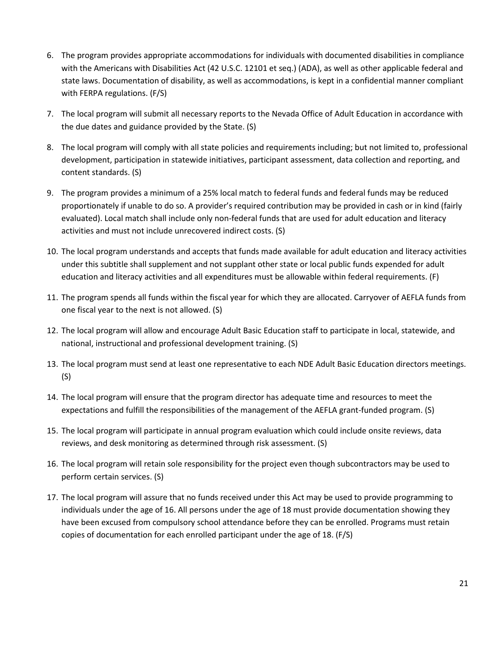- 6. The program provides appropriate accommodations for individuals with documented disabilities in compliance with the Americans with Disabilities Act (42 U.S.C. 12101 et seq.) (ADA), as well as other applicable federal and state laws. Documentation of disability, as well as accommodations, is kept in a confidential manner compliant with FERPA regulations. (F/S)
- 7. The local program will submit all necessary reports to the Nevada Office of Adult Education in accordance with the due dates and guidance provided by the State. (S)
- 8. The local program will comply with all state policies and requirements including; but not limited to, professional development, participation in statewide initiatives, participant assessment, data collection and reporting, and content standards. (S)
- 9. The program provides a minimum of a 25% local match to federal funds and federal funds may be reduced proportionately if unable to do so. A provider's required contribution may be provided in cash or in kind (fairly evaluated). Local match shall include only non-federal funds that are used for adult education and literacy activities and must not include unrecovered indirect costs. (S)
- 10. The local program understands and accepts that funds made available for adult education and literacy activities under this subtitle shall supplement and not supplant other state or local public funds expended for adult education and literacy activities and all expenditures must be allowable within federal requirements. (F)
- 11. The program spends all funds within the fiscal year for which they are allocated. Carryover of AEFLA funds from one fiscal year to the next is not allowed. (S)
- 12. The local program will allow and encourage Adult Basic Education staff to participate in local, statewide, and national, instructional and professional development training. (S)
- 13. The local program must send at least one representative to each NDE Adult Basic Education directors meetings. (S)
- 14. The local program will ensure that the program director has adequate time and resources to meet the expectations and fulfill the responsibilities of the management of the AEFLA grant-funded program. (S)
- 15. The local program will participate in annual program evaluation which could include onsite reviews, data reviews, and desk monitoring as determined through risk assessment. (S)
- 16. The local program will retain sole responsibility for the project even though subcontractors may be used to perform certain services. (S)
- 17. The local program will assure that no funds received under this Act may be used to provide programming to individuals under the age of 16. All persons under the age of 18 must provide documentation showing they have been excused from compulsory school attendance before they can be enrolled. Programs must retain copies of documentation for each enrolled participant under the age of 18. (F/S)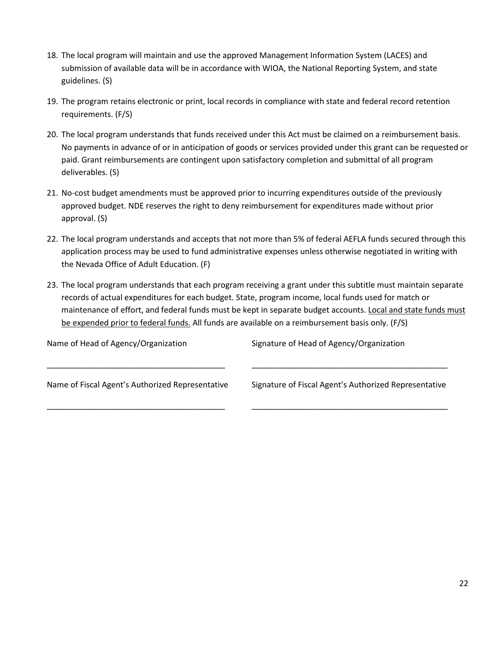- 18. The local program will maintain and use the approved Management Information System (LACES) and submission of available data will be in accordance with WIOA, the National Reporting System, and state guidelines. (S)
- 19. The program retains electronic or print, local records in compliance with state and federal record retention requirements. (F/S)
- 20. The local program understands that funds received under this Act must be claimed on a reimbursement basis. No payments in advance of or in anticipation of goods or services provided under this grant can be requested or paid. Grant reimbursements are contingent upon satisfactory completion and submittal of all program deliverables. (S)
- 21. No-cost budget amendments must be approved prior to incurring expenditures outside of the previously approved budget. NDE reserves the right to deny reimbursement for expenditures made without prior approval. (S)
- 22. The local program understands and accepts that not more than 5% of federal AEFLA funds secured through this application process may be used to fund administrative expenses unless otherwise negotiated in writing with the Nevada Office of Adult Education. (F)
- 23. The local program understands that each program receiving a grant under this subtitle must maintain separate records of actual expenditures for each budget. State, program income, local funds used for match or maintenance of effort, and federal funds must be kept in separate budget accounts. Local and state funds must be expended prior to federal funds. All funds are available on a reimbursement basis only. (F/S)

| Name of Head of Agency/Organization              | Signature of Head of Agency/Organization              |  |  |
|--------------------------------------------------|-------------------------------------------------------|--|--|
| Name of Fiscal Agent's Authorized Representative | Signature of Fiscal Agent's Authorized Representative |  |  |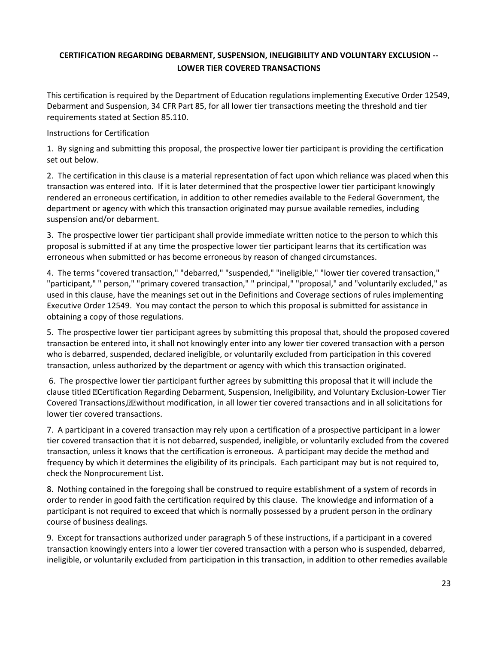### **CERTIFICATION REGARDING DEBARMENT, SUSPENSION, INELIGIBILITY AND VOLUNTARY EXCLUSION --LOWER TIER COVERED TRANSACTIONS**

This certification is required by the Department of Education regulations implementing Executive Order 12549, Debarment and Suspension, 34 CFR Part 85, for all lower tier transactions meeting the threshold and tier requirements stated at Section 85.110.

#### Instructions for Certification

1. By signing and submitting this proposal, the prospective lower tier participant is providing the certification set out below.

2. The certification in this clause is a material representation of fact upon which reliance was placed when this transaction was entered into. If it is later determined that the prospective lower tier participant knowingly rendered an erroneous certification, in addition to other remedies available to the Federal Government, the department or agency with which this transaction originated may pursue available remedies, including suspension and/or debarment.

3. The prospective lower tier participant shall provide immediate written notice to the person to which this proposal is submitted if at any time the prospective lower tier participant learns that its certification was erroneous when submitted or has become erroneous by reason of changed circumstances.

4. The terms "covered transaction," "debarred," "suspended," "ineligible," "lower tier covered transaction," "participant," " person," "primary covered transaction," " principal," "proposal," and "voluntarily excluded," as used in this clause, have the meanings set out in the Definitions and Coverage sections of rules implementing Executive Order 12549. You may contact the person to which this proposal is submitted for assistance in obtaining a copy of those regulations.

5. The prospective lower tier participant agrees by submitting this proposal that, should the proposed covered transaction be entered into, it shall not knowingly enter into any lower tier covered transaction with a person who is debarred, suspended, declared ineligible, or voluntarily excluded from participation in this covered transaction, unless authorized by the department or agency with which this transaction originated.

6. The prospective lower tier participant further agrees by submitting this proposal that it will include the clause titled Certification Regarding Debarment, Suspension, Ineligibility, and Voluntary Exclusion-Lower Tier Covered Transactions, anthout modification, in all lower tier covered transactions and in all solicitations for lower tier covered transactions.

7. A participant in a covered transaction may rely upon a certification of a prospective participant in a lower tier covered transaction that it is not debarred, suspended, ineligible, or voluntarily excluded from the covered transaction, unless it knows that the certification is erroneous. A participant may decide the method and frequency by which it determines the eligibility of its principals. Each participant may but is not required to, check the Nonprocurement List.

8. Nothing contained in the foregoing shall be construed to require establishment of a system of records in order to render in good faith the certification required by this clause. The knowledge and information of a participant is not required to exceed that which is normally possessed by a prudent person in the ordinary course of business dealings.

9. Except for transactions authorized under paragraph 5 of these instructions, if a participant in a covered transaction knowingly enters into a lower tier covered transaction with a person who is suspended, debarred, ineligible, or voluntarily excluded from participation in this transaction, in addition to other remedies available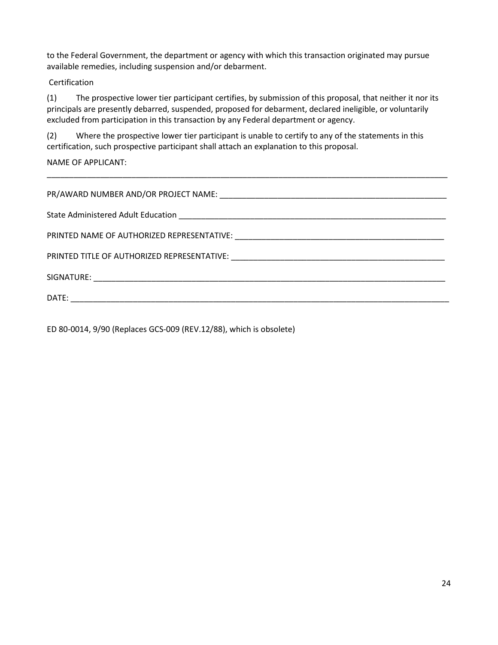to the Federal Government, the department or agency with which this transaction originated may pursue available remedies, including suspension and/or debarment.

#### Certification

(1) The prospective lower tier participant certifies, by submission of this proposal, that neither it nor its principals are presently debarred, suspended, proposed for debarment, declared ineligible, or voluntarily excluded from participation in this transaction by any Federal department or agency.

(2) Where the prospective lower tier participant is unable to certify to any of the statements in this certification, such prospective participant shall attach an explanation to this proposal.

#### NAME OF APPLICANT:

| DATE:<br><u> 1989 - Johann John Stone, mars et al. 1989 - John Stone, mars et al. 1989 - John Stone, mars et al. 1989 - Joh</u> |
|---------------------------------------------------------------------------------------------------------------------------------|

\_\_\_\_\_\_\_\_\_\_\_\_\_\_\_\_\_\_\_\_\_\_\_\_\_\_\_\_\_\_\_\_\_\_\_\_\_\_\_\_\_\_\_\_\_\_\_\_\_\_\_\_\_\_\_\_\_\_\_\_\_\_\_\_\_\_\_\_\_\_\_\_\_\_\_\_\_\_\_\_\_\_\_\_\_\_\_\_\_\_

ED 80-0014, 9/90 (Replaces GCS-009 (REV.12/88), which is obsolete)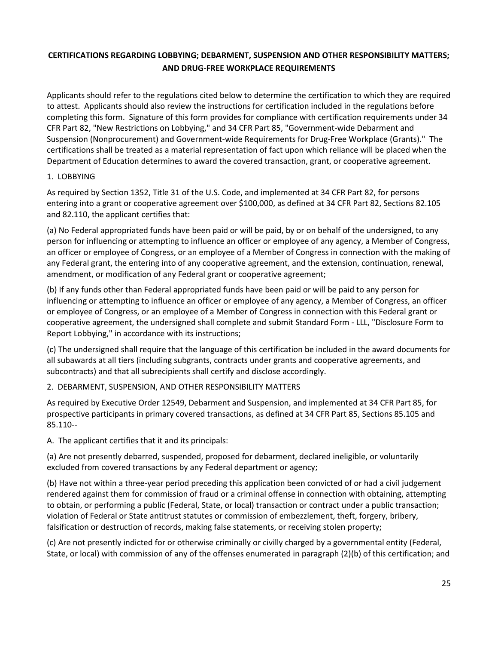### **CERTIFICATIONS REGARDING LOBBYING; DEBARMENT, SUSPENSION AND OTHER RESPONSIBILITY MATTERS; AND DRUG-FREE WORKPLACE REQUIREMENTS**

Applicants should refer to the regulations cited below to determine the certification to which they are required to attest. Applicants should also review the instructions for certification included in the regulations before completing this form. Signature of this form provides for compliance with certification requirements under 34 CFR Part 82, "New Restrictions on Lobbying," and 34 CFR Part 85, "Government-wide Debarment and Suspension (Nonprocurement) and Government-wide Requirements for Drug-Free Workplace (Grants)." The certifications shall be treated as a material representation of fact upon which reliance will be placed when the Department of Education determines to award the covered transaction, grant, or cooperative agreement.

#### 1. LOBBYING

As required by Section 1352, Title 31 of the U.S. Code, and implemented at 34 CFR Part 82, for persons entering into a grant or cooperative agreement over \$100,000, as defined at 34 CFR Part 82, Sections 82.105 and 82.110, the applicant certifies that:

(a) No Federal appropriated funds have been paid or will be paid, by or on behalf of the undersigned, to any person for influencing or attempting to influence an officer or employee of any agency, a Member of Congress, an officer or employee of Congress, or an employee of a Member of Congress in connection with the making of any Federal grant, the entering into of any cooperative agreement, and the extension, continuation, renewal, amendment, or modification of any Federal grant or cooperative agreement;

(b) If any funds other than Federal appropriated funds have been paid or will be paid to any person for influencing or attempting to influence an officer or employee of any agency, a Member of Congress, an officer or employee of Congress, or an employee of a Member of Congress in connection with this Federal grant or cooperative agreement, the undersigned shall complete and submit Standard Form - LLL, "Disclosure Form to Report Lobbying," in accordance with its instructions;

(c) The undersigned shall require that the language of this certification be included in the award documents for all subawards at all tiers (including subgrants, contracts under grants and cooperative agreements, and subcontracts) and that all subrecipients shall certify and disclose accordingly.

2. DEBARMENT, SUSPENSION, AND OTHER RESPONSIBILITY MATTERS

As required by Executive Order 12549, Debarment and Suspension, and implemented at 34 CFR Part 85, for prospective participants in primary covered transactions, as defined at 34 CFR Part 85, Sections 85.105 and 85.110--

A. The applicant certifies that it and its principals:

(a) Are not presently debarred, suspended, proposed for debarment, declared ineligible, or voluntarily excluded from covered transactions by any Federal department or agency;

(b) Have not within a three-year period preceding this application been convicted of or had a civil judgement rendered against them for commission of fraud or a criminal offense in connection with obtaining, attempting to obtain, or performing a public (Federal, State, or local) transaction or contract under a public transaction; violation of Federal or State antitrust statutes or commission of embezzlement, theft, forgery, bribery, falsification or destruction of records, making false statements, or receiving stolen property;

(c) Are not presently indicted for or otherwise criminally or civilly charged by a governmental entity (Federal, State, or local) with commission of any of the offenses enumerated in paragraph (2)(b) of this certification; and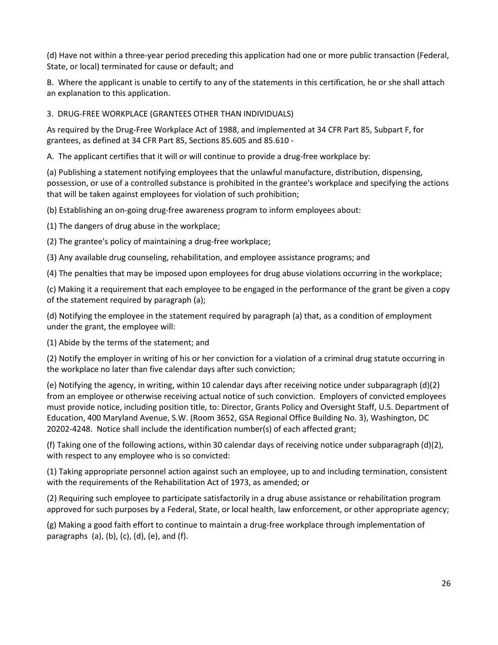(d) Have not within a three-year period preceding this application had one or more public transaction (Federal, State, or local) terminated for cause or default; and

B. Where the applicant is unable to certify to any of the statements in this certification, he or she shall attach an explanation to this application.

#### 3. DRUG-FREE WORKPLACE (GRANTEES OTHER THAN INDIVIDUALS)

As required by the Drug-Free Workplace Act of 1988, and implemented at 34 CFR Part 85, Subpart F, for grantees, as defined at 34 CFR Part 85, Sections 85.605 and 85.610 -

A. The applicant certifies that it will or will continue to provide a drug-free workplace by:

(a) Publishing a statement notifying employees that the unlawful manufacture, distribution, dispensing, possession, or use of a controlled substance is prohibited in the grantee's workplace and specifying the actions that will be taken against employees for violation of such prohibition;

(b) Establishing an on-going drug-free awareness program to inform employees about:

(1) The dangers of drug abuse in the workplace;

(2) The grantee's policy of maintaining a drug-free workplace;

(3) Any available drug counseling, rehabilitation, and employee assistance programs; and

(4) The penalties that may be imposed upon employees for drug abuse violations occurring in the workplace;

(c) Making it a requirement that each employee to be engaged in the performance of the grant be given a copy of the statement required by paragraph (a);

(d) Notifying the employee in the statement required by paragraph (a) that, as a condition of employment under the grant, the employee will:

(1) Abide by the terms of the statement; and

(2) Notify the employer in writing of his or her conviction for a violation of a criminal drug statute occurring in the workplace no later than five calendar days after such conviction;

(e) Notifying the agency, in writing, within 10 calendar days after receiving notice under subparagraph (d)(2) from an employee or otherwise receiving actual notice of such conviction. Employers of convicted employees must provide notice, including position title, to: Director, Grants Policy and Oversight Staff, U.S. Department of Education, 400 Maryland Avenue, S.W. (Room 3652, GSA Regional Office Building No. 3), Washington, DC 20202-4248. Notice shall include the identification number(s) of each affected grant;

(f) Taking one of the following actions, within 30 calendar days of receiving notice under subparagraph (d)(2), with respect to any employee who is so convicted:

(1) Taking appropriate personnel action against such an employee, up to and including termination, consistent with the requirements of the Rehabilitation Act of 1973, as amended; or

(2) Requiring such employee to participate satisfactorily in a drug abuse assistance or rehabilitation program approved for such purposes by a Federal, State, or local health, law enforcement, or other appropriate agency;

(g) Making a good faith effort to continue to maintain a drug-free workplace through implementation of paragraphs  $(a)$ ,  $(b)$ ,  $(c)$ ,  $(d)$ ,  $(e)$ , and  $(f)$ .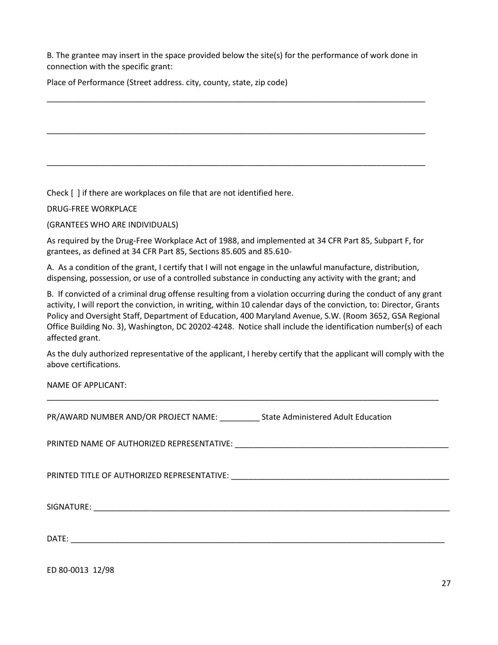B. The grantee may insert in the space provided below the site(s) for the performance of work done in connection with the specific grant:

\_\_\_\_\_\_\_\_\_\_\_\_\_\_\_\_\_\_\_\_\_\_\_\_\_\_\_\_\_\_\_\_\_\_\_\_\_\_\_\_\_\_\_\_\_\_\_\_\_\_\_\_\_\_\_\_\_\_\_\_\_\_\_\_\_\_\_\_\_\_\_\_\_\_\_\_\_\_\_\_\_\_\_\_\_

\_\_\_\_\_\_\_\_\_\_\_\_\_\_\_\_\_\_\_\_\_\_\_\_\_\_\_\_\_\_\_\_\_\_\_\_\_\_\_\_\_\_\_\_\_\_\_\_\_\_\_\_\_\_\_\_\_\_\_\_\_\_\_\_\_\_\_\_\_\_\_\_\_\_\_\_\_\_\_\_\_\_\_\_\_

\_\_\_\_\_\_\_\_\_\_\_\_\_\_\_\_\_\_\_\_\_\_\_\_\_\_\_\_\_\_\_\_\_\_\_\_\_\_\_\_\_\_\_\_\_\_\_\_\_\_\_\_\_\_\_\_\_\_\_\_\_\_\_\_\_\_\_\_\_\_\_\_\_\_\_\_\_\_\_\_\_\_\_\_\_

Place of Performance (Street address. city, county, state, zip code)

Check [ ] if there are workplaces on file that are not identified here.

DRUG-FREE WORKPLACE

(GRANTEES WHO ARE INDIVIDUALS)

As required by the Drug-Free Workplace Act of 1988, and implemented at 34 CFR Part 85, Subpart F, for grantees, as defined at 34 CFR Part 85, Sections 85.605 and 85.610-

A. As a condition of the grant, I certify that I will not engage in the unlawful manufacture, distribution, dispensing, possession, or use of a controlled substance in conducting any activity with the grant; and

B. If convicted of a criminal drug offense resulting from a violation occurring during the conduct of any grant activity, I will report the conviction, in writing, within 10 calendar days of the conviction, to: Director, Grants Policy and Oversight Staff, Department of Education, 400 Maryland Avenue, S.W. (Room 3652, GSA Regional Office Building No. 3), Washington, DC 20202-4248. Notice shall include the identification number(s) of each affected grant.

As the duly authorized representative of the applicant, I hereby certify that the applicant will comply with the above certifications.

\_\_\_\_\_\_\_\_\_\_\_\_\_\_\_\_\_\_\_\_\_\_\_\_\_\_\_\_\_\_\_\_\_\_\_\_\_\_\_\_\_\_\_\_\_\_\_\_\_\_\_\_\_\_\_\_\_\_\_\_\_\_\_\_\_\_\_\_\_\_\_\_\_\_\_\_\_\_\_\_\_\_\_\_\_\_\_\_

NAME OF APPLICANT:

PR/AWARD NUMBER AND/OR PROJECT NAME: \_\_\_\_\_\_\_\_\_ State Administered Adult Education

PRINTED NAME OF AUTHORIZED REPRESENTATIVE: \_\_\_\_\_\_\_\_\_\_\_\_\_\_\_\_\_\_\_\_\_\_\_\_\_\_\_\_\_\_\_\_\_\_\_\_\_\_\_\_\_\_\_\_\_\_\_\_

PRINTED TITLE OF AUTHORIZED REPRESENTATIVE: \_\_\_\_\_\_\_\_\_\_\_\_\_\_\_\_\_\_\_\_\_\_\_\_\_\_\_\_\_\_\_\_\_\_\_\_\_\_\_\_\_\_\_\_\_\_\_\_\_

 $SIGNATURE:$ 

DATE: \_\_\_\_\_\_\_\_\_\_\_\_\_\_\_\_\_\_\_\_\_\_\_\_\_\_\_\_\_\_\_\_\_\_\_\_\_\_\_\_\_\_\_\_\_\_\_\_\_\_\_\_\_\_\_\_\_\_\_\_\_\_\_\_\_\_\_\_\_\_\_\_\_\_\_\_\_\_\_\_\_\_\_\_

ED 80-0013 12/98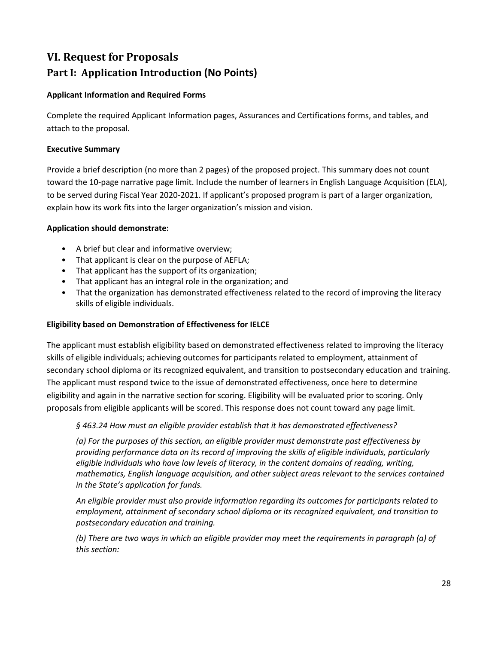# <span id="page-28-1"></span><span id="page-28-0"></span>**VI. Request for Proposals Part I: Application Introduction (No Points)**

#### **Applicant Information and Required Forms**

Complete the required Applicant Information pages, Assurances and Certifications forms, and tables, and attach to the proposal.

#### **Executive Summary**

Provide a brief description (no more than 2 pages) of the proposed project. This summary does not count toward the 10-page narrative page limit. Include the number of learners in English Language Acquisition (ELA), to be served during Fiscal Year 2020-2021. If applicant's proposed program is part of a larger organization, explain how its work fits into the larger organization's mission and vision.

#### **Application should demonstrate:**

- A brief but clear and informative overview;
- That applicant is clear on the purpose of AEFLA;
- That applicant has the support of its organization;
- That applicant has an integral role in the organization; and
- That the organization has demonstrated effectiveness related to the record of improving the literacy skills of eligible individuals.

#### **Eligibility based on Demonstration of Effectiveness for IELCE**

The applicant must establish eligibility based on demonstrated effectiveness related to improving the literacy skills of eligible individuals; achieving outcomes for participants related to employment, attainment of secondary school diploma or its recognized equivalent, and transition to postsecondary education and training. The applicant must respond twice to the issue of demonstrated effectiveness, once here to determine eligibility and again in the narrative section for scoring. Eligibility will be evaluated prior to scoring. Only proposals from eligible applicants will be scored. This response does not count toward any page limit.

*§ 463.24 How must an eligible provider establish that it has demonstrated effectiveness?*

*(a) For the purposes of this section, an eligible provider must demonstrate past effectiveness by providing performance data on its record of improving the skills of eligible individuals, particularly eligible individuals who have low levels of literacy, in the content domains of reading, writing, mathematics, English language acquisition, and other subject areas relevant to the services contained in the State's application for funds.* 

*An eligible provider must also provide information regarding its outcomes for participants related to employment, attainment of secondary school diploma or its recognized equivalent, and transition to postsecondary education and training.*

*(b) There are two ways in which an eligible provider may meet the requirements in paragraph (a) of this section:*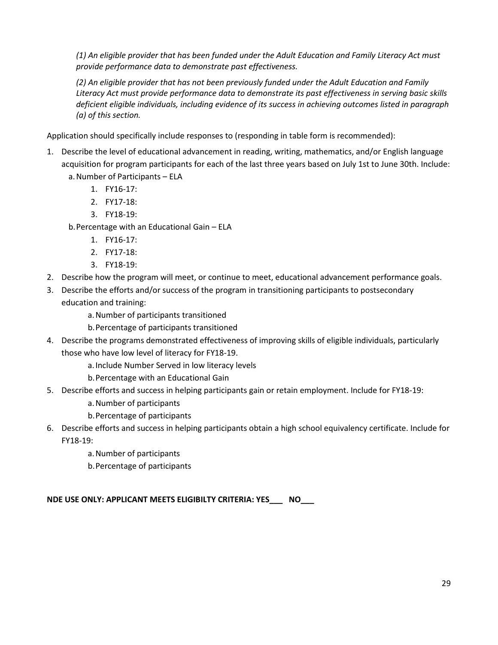*(1) An eligible provider that has been funded under the Adult Education and Family Literacy Act must provide performance data to demonstrate past effectiveness.*

*(2) An eligible provider that has not been previously funded under the Adult Education and Family Literacy Act must provide performance data to demonstrate its past effectiveness in serving basic skills deficient eligible individuals, including evidence of its success in achieving outcomes listed in paragraph (a) of this section.*

Application should specifically include responses to (responding in table form is recommended):

- 1. Describe the level of educational advancement in reading, writing, mathematics, and/or English language acquisition for program participants for each of the last three years based on July 1st to June 30th. Include: a.Number of Participants – ELA
	- 1. FY16-17:
	- 2. FY17-18:
	- 3. FY18-19:
	- b.Percentage with an Educational Gain ELA
		- 1. FY16-17:
		- 2. FY17-18:
		- 3. FY18-19:
- 2. Describe how the program will meet, or continue to meet, educational advancement performance goals.
- 3. Describe the efforts and/or success of the program in transitioning participants to postsecondary education and training:
	- a.Number of participants transitioned
	- b.Percentage of participants transitioned
- 4. Describe the programs demonstrated effectiveness of improving skills of eligible individuals, particularly those who have low level of literacy for FY18-19.
	- a.Include Number Served in low literacy levels
	- b.Percentage with an Educational Gain
- 5. Describe efforts and success in helping participants gain or retain employment. Include for FY18-19:
	- a.Number of participants
	- b.Percentage of participants
- 6. Describe efforts and success in helping participants obtain a high school equivalency certificate. Include for FY18-19:
	- a.Number of participants
	- b.Percentage of participants

**NDE USE ONLY: APPLICANT MEETS ELIGIBILTY CRITERIA: YES\_\_\_ NO\_\_\_**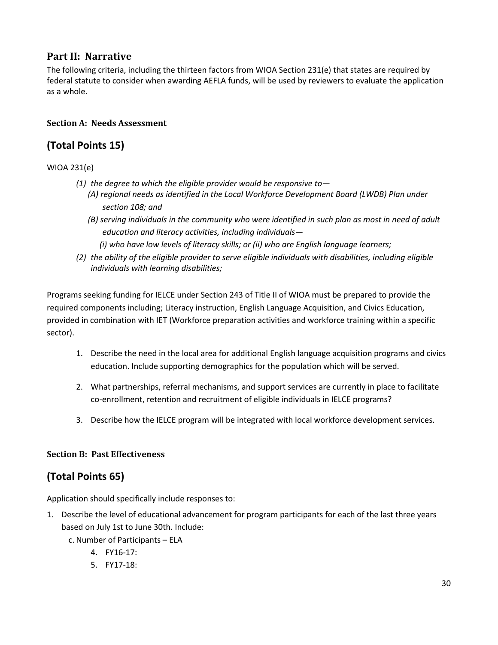# <span id="page-30-0"></span>**Part II: Narrative**

The following criteria, including the thirteen factors from WIOA Section 231(e) that states are required by federal statute to consider when awarding AEFLA funds, will be used by reviewers to evaluate the application as a whole.

### <span id="page-30-1"></span>**Section A: Needs Assessment**

# **(Total Points 15)**

#### WIOA 231(e)

- *(1) the degree to which the eligible provider would be responsive to—*
	- *(A) regional needs as identified in the Local Workforce Development Board (LWDB) Plan under section 108; and*
	- *(B) serving individuals in the community who were identified in such plan as most in need of adult education and literacy activities, including individuals—*
		- *(i) who have low levels of literacy skills; or (ii) who are English language learners;*
- *(2) the ability of the eligible provider to serve eligible individuals with disabilities, including eligible individuals with learning disabilities;*

Programs seeking funding for IELCE under Section 243 of Title II of WIOA must be prepared to provide the required components including; Literacy instruction, English Language Acquisition, and Civics Education, provided in combination with IET (Workforce preparation activities and workforce training within a specific sector).

- 1. Describe the need in the local area for additional English language acquisition programs and civics education. Include supporting demographics for the population which will be served.
- 2. What partnerships, referral mechanisms, and support services are currently in place to facilitate co-enrollment, retention and recruitment of eligible individuals in IELCE programs?
- 3. Describe how the IELCE program will be integrated with local workforce development services.

#### <span id="page-30-2"></span>**Section B: Past Effectiveness**

## **(Total Points 65)**

Application should specifically include responses to:

1. Describe the level of educational advancement for program participants for each of the last three years based on July 1st to June 30th. Include:

c. Number of Participants – ELA

- 4. FY16-17:
- 5. FY17-18: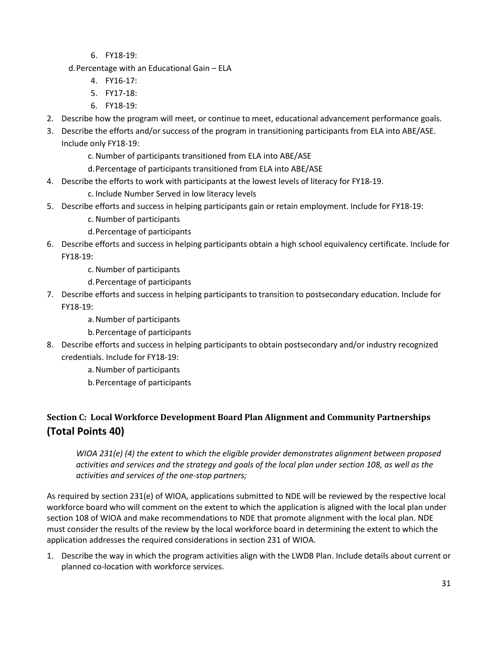- 6. FY18-19:
- d.Percentage with an Educational Gain ELA
	- 4. FY16-17:
	- 5. FY17-18:
	- 6. FY18-19:
- 2. Describe how the program will meet, or continue to meet, educational advancement performance goals.
- 3. Describe the efforts and/or success of the program in transitioning participants from ELA into ABE/ASE. Include only FY18-19:
	- c. Number of participants transitioned from ELA into ABE/ASE
	- d.Percentage of participants transitioned from ELA into ABE/ASE
- 4. Describe the efforts to work with participants at the lowest levels of literacy for FY18-19.
	- c. Include Number Served in low literacy levels
- 5. Describe efforts and success in helping participants gain or retain employment. Include for FY18-19:
	- c. Number of participants
	- d.Percentage of participants
- 6. Describe efforts and success in helping participants obtain a high school equivalency certificate. Include for FY18-19:
	- c. Number of participants
	- d.Percentage of participants
- 7. Describe efforts and success in helping participants to transition to postsecondary education. Include for FY18-19:
	- a.Number of participants
	- b.Percentage of participants
- 8. Describe efforts and success in helping participants to obtain postsecondary and/or industry recognized credentials. Include for FY18-19:
	- a.Number of participants
	- b.Percentage of participants

# <span id="page-31-0"></span>**Section C: Local Workforce Development Board Plan Alignment and Community Partnerships (Total Points 40)**

*WIOA 231(e) (4) the extent to which the eligible provider demonstrates alignment between proposed activities and services and the strategy and goals of the local plan under section 108, as well as the activities and services of the one-stop partners;* 

As required by section 231(e) of WIOA, applications submitted to NDE will be reviewed by the respective local workforce board who will comment on the extent to which the application is aligned with the local plan under section 108 of WIOA and make recommendations to NDE that promote alignment with the local plan. NDE must consider the results of the review by the local workforce board in determining the extent to which the application addresses the required considerations in section 231 of WIOA.

1. Describe the way in which the program activities align with the LWDB Plan. Include details about current or planned co-location with workforce services.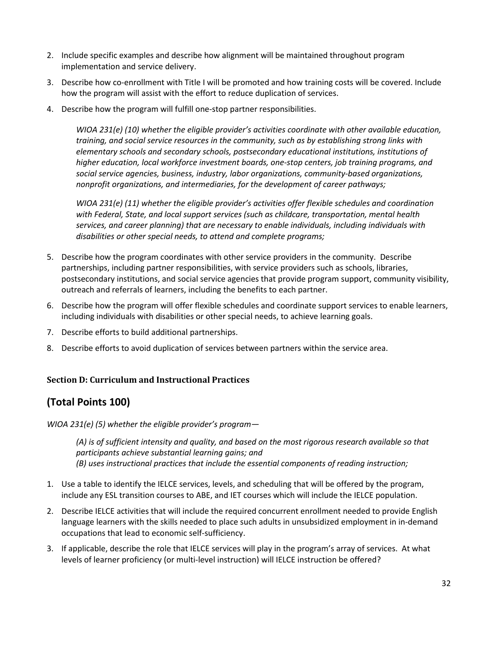- 2. Include specific examples and describe how alignment will be maintained throughout program implementation and service delivery.
- 3. Describe how co-enrollment with Title I will be promoted and how training costs will be covered. Include how the program will assist with the effort to reduce duplication of services.
- 4. Describe how the program will fulfill one-stop partner responsibilities.

*WIOA 231(e) (10) whether the eligible provider's activities coordinate with other available education, training, and social service resources in the community, such as by establishing strong links with elementary schools and secondary schools, postsecondary educational institutions, institutions of higher education, local workforce investment boards, one-stop centers, job training programs, and social service agencies, business, industry, labor organizations, community-based organizations, nonprofit organizations, and intermediaries, for the development of career pathways;* 

*WIOA 231(e) (11) whether the eligible provider's activities offer flexible schedules and coordination with Federal, State, and local support services (such as childcare, transportation, mental health services, and career planning) that are necessary to enable individuals, including individuals with disabilities or other special needs, to attend and complete programs;* 

- 5. Describe how the program coordinates with other service providers in the community. Describe partnerships, including partner responsibilities, with service providers such as schools, libraries, postsecondary institutions, and social service agencies that provide program support, community visibility, outreach and referrals of learners, including the benefits to each partner.
- 6. Describe how the program will offer flexible schedules and coordinate support services to enable learners, including individuals with disabilities or other special needs, to achieve learning goals.
- 7. Describe efforts to build additional partnerships.
- 8. Describe efforts to avoid duplication of services between partners within the service area.

#### <span id="page-32-0"></span>**Section D: Curriculum and Instructional Practices**

# **(Total Points 100)**

*WIOA 231(e) (5) whether the eligible provider's program—*

*(A) is of sufficient intensity and quality, and based on the most rigorous research available so that participants achieve substantial learning gains; and (B) uses instructional practices that include the essential components of reading instruction;* 

- 1. Use a table to identify the IELCE services, levels, and scheduling that will be offered by the program, include any ESL transition courses to ABE, and IET courses which will include the IELCE population.
- 2. Describe IELCE activities that will include the required concurrent enrollment needed to provide English language learners with the skills needed to place such adults in unsubsidized employment in in-demand occupations that lead to economic self-sufficiency.
- 3. If applicable, describe the role that IELCE services will play in the program's array of services. At what levels of learner proficiency (or multi-level instruction) will IELCE instruction be offered?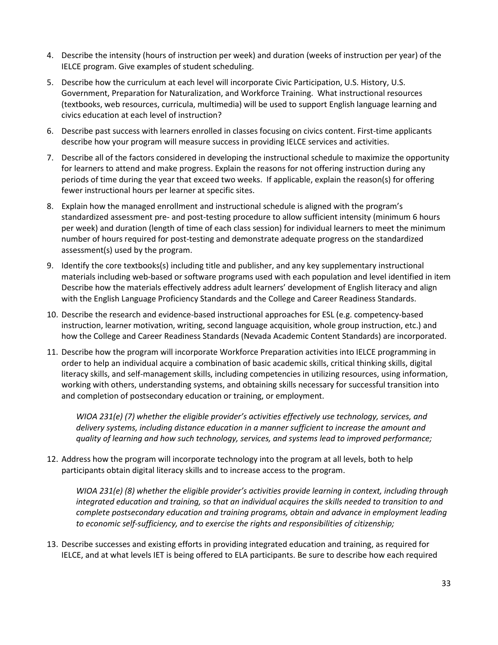- 4. Describe the intensity (hours of instruction per week) and duration (weeks of instruction per year) of the IELCE program. Give examples of student scheduling.
- 5. Describe how the curriculum at each level will incorporate Civic Participation, U.S. History, U.S. Government, Preparation for Naturalization, and Workforce Training. What instructional resources (textbooks, web resources, curricula, multimedia) will be used to support English language learning and civics education at each level of instruction?
- 6. Describe past success with learners enrolled in classes focusing on civics content. First-time applicants describe how your program will measure success in providing IELCE services and activities.
- 7. Describe all of the factors considered in developing the instructional schedule to maximize the opportunity for learners to attend and make progress. Explain the reasons for not offering instruction during any periods of time during the year that exceed two weeks. If applicable, explain the reason(s) for offering fewer instructional hours per learner at specific sites.
- 8. Explain how the managed enrollment and instructional schedule is aligned with the program's standardized assessment pre- and post-testing procedure to allow sufficient intensity (minimum 6 hours per week) and duration (length of time of each class session) for individual learners to meet the minimum number of hours required for post-testing and demonstrate adequate progress on the standardized assessment(s) used by the program.
- 9. Identify the core textbooks(s) including title and publisher, and any key supplementary instructional materials including web-based or software programs used with each population and level identified in item Describe how the materials effectively address adult learners' development of English literacy and align with the English Language Proficiency Standards and the College and Career Readiness Standards.
- 10. Describe the research and evidence-based instructional approaches for ESL (e.g. competency-based instruction, learner motivation, writing, second language acquisition, whole group instruction, etc.) and how the College and Career Readiness Standards (Nevada Academic Content Standards) are incorporated.
- 11. Describe how the program will incorporate Workforce Preparation activities into IELCE programming in order to help an individual acquire a combination of basic academic skills, critical thinking skills, digital literacy skills, and self-management skills, including competencies in utilizing resources, using information, working with others, understanding systems, and obtaining skills necessary for successful transition into and completion of postsecondary education or training, or employment.

*WIOA 231(e) (7) whether the eligible provider's activities effectively use technology, services, and delivery systems, including distance education in a manner sufficient to increase the amount and quality of learning and how such technology, services, and systems lead to improved performance;*

12. Address how the program will incorporate technology into the program at all levels, both to help participants obtain digital literacy skills and to increase access to the program.

*WIOA 231(e) (8) whether the eligible provider's activities provide learning in context, including through integrated education and training, so that an individual acquires the skills needed to transition to and complete postsecondary education and training programs, obtain and advance in employment leading to economic self-sufficiency, and to exercise the rights and responsibilities of citizenship;* 

13. Describe successes and existing efforts in providing integrated education and training, as required for IELCE, and at what levels IET is being offered to ELA participants. Be sure to describe how each required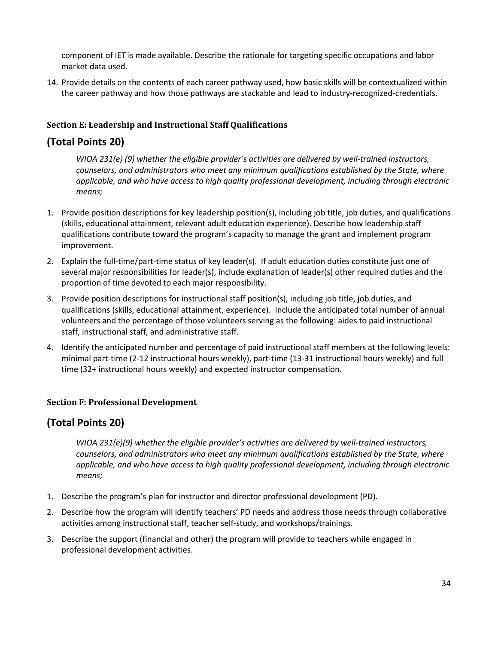component of IET is made available. Describe the rationale for targeting specific occupations and labor market data used.

14. Provide details on the contents of each career pathway used, how basic skills will be contextualized within the career pathway and how those pathways are stackable and lead to industry-recognized-credentials.

### <span id="page-34-0"></span>**Section E: Leadership and Instructional Staff Qualifications**

# **(Total Points 20)**

*WIOA 231(e) (9) whether the eligible provider's activities are delivered by well-trained instructors, counselors, and administrators who meet any minimum qualifications established by the State, where applicable, and who have access to high quality professional development, including through electronic means;* 

- 1. Provide position descriptions for key leadership position(s), including job title, job duties, and qualifications (skills, educational attainment, relevant adult education experience). Describe how leadership staff qualifications contribute toward the program's capacity to manage the grant and implement program improvement.
- 2. Explain the full-time/part-time status of key leader(s). If adult education duties constitute just one of several major responsibilities for leader(s), include explanation of leader(s) other required duties and the proportion of time devoted to each major responsibility.
- 3. Provide position descriptions for instructional staff position(s), including job title, job duties, and qualifications (skills, educational attainment, experience). Include the anticipated total number of annual volunteers and the percentage of those volunteers serving as the following: aides to paid instructional staff, instructional staff, and administrative staff.
- 4. Identify the anticipated number and percentage of paid instructional staff members at the following levels: minimal part-time (2-12 instructional hours weekly), part-time (13-31 instructional hours weekly) and full time (32+ instructional hours weekly) and expected instructor compensation.

#### <span id="page-34-1"></span>**Section F: Professional Development**

### **(Total Points 20)**

*WIOA 231(e)(9) whether the eligible provider's activities are delivered by well-trained instructors, counselors, and administrators who meet any minimum qualifications established by the State, where applicable, and who have access to high quality professional development, including through electronic means;* 

- 1. Describe the program's plan for instructor and director professional development (PD).
- 2. Describe how the program will identify teachers' PD needs and address those needs through collaborative activities among instructional staff, teacher self-study, and workshops/trainings.
- 3. Describe the support (financial and other) the program will provide to teachers while engaged in professional development activities.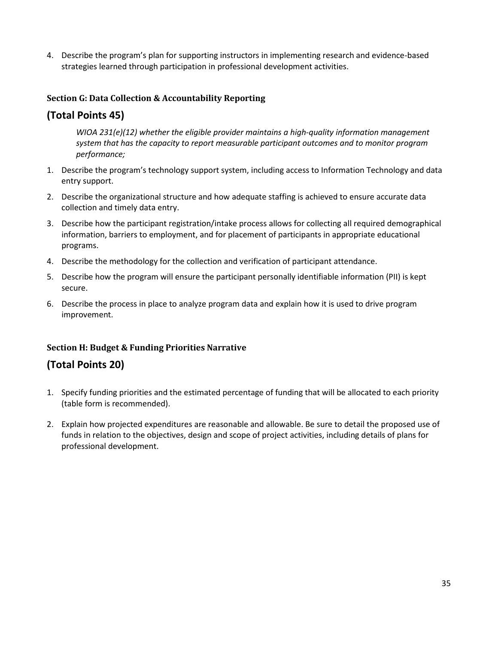4. Describe the program's plan for supporting instructors in implementing research and evidence-based strategies learned through participation in professional development activities.

### <span id="page-35-0"></span>**Section G: Data Collection & Accountability Reporting**

# **(Total Points 45)**

*WIOA 231(e)(12) whether the eligible provider maintains a high-quality information management system that has the capacity to report measurable participant outcomes and to monitor program performance;*

- 1. Describe the program's technology support system, including access to Information Technology and data entry support.
- 2. Describe the organizational structure and how adequate staffing is achieved to ensure accurate data collection and timely data entry.
- 3. Describe how the participant registration/intake process allows for collecting all required demographical information, barriers to employment, and for placement of participants in appropriate educational programs.
- 4. Describe the methodology for the collection and verification of participant attendance.
- 5. Describe how the program will ensure the participant personally identifiable information (PII) is kept secure.
- 6. Describe the process in place to analyze program data and explain how it is used to drive program improvement.

### <span id="page-35-1"></span>**Section H: Budget & Funding Priorities Narrative**

## **(Total Points 20)**

- 1. Specify funding priorities and the estimated percentage of funding that will be allocated to each priority (table form is recommended).
- 2. Explain how projected expenditures are reasonable and allowable. Be sure to detail the proposed use of funds in relation to the objectives, design and scope of project activities, including details of plans for professional development.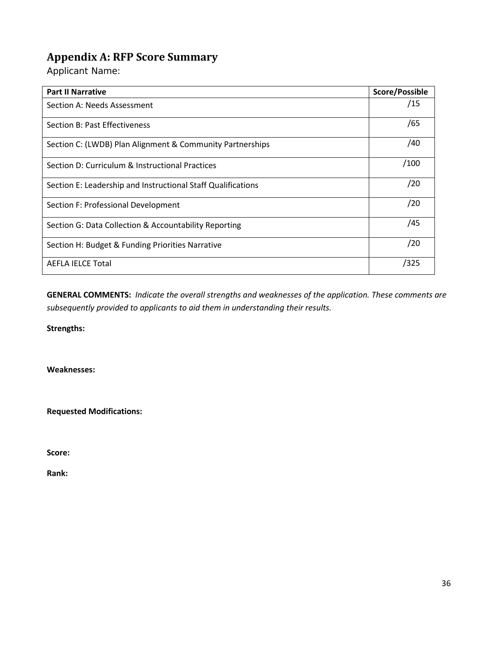# <span id="page-36-0"></span>**Appendix A: RFP Score Summary**

Applicant Name:

| <b>Part II Narrative</b>                                     | <b>Score/Possible</b> |
|--------------------------------------------------------------|-----------------------|
| Section A: Needs Assessment                                  | /15                   |
| Section B: Past Effectiveness                                | /65                   |
| Section C: (LWDB) Plan Alignment & Community Partnerships    | /40                   |
| Section D: Curriculum & Instructional Practices              | /100                  |
| Section E: Leadership and Instructional Staff Qualifications | /20                   |
| Section F: Professional Development                          | /20                   |
| Section G: Data Collection & Accountability Reporting        | /45                   |
| Section H: Budget & Funding Priorities Narrative             | /20                   |
| <b>AEFLA IELCE Total</b>                                     | /325                  |

**GENERAL COMMENTS:** *Indicate the overall strengths and weaknesses of the application. These comments are subsequently provided to applicants to aid them in understanding their results.* 

**Strengths:** 

**Weaknesses:** 

**Requested Modifications:**

**Score:** 

**Rank:**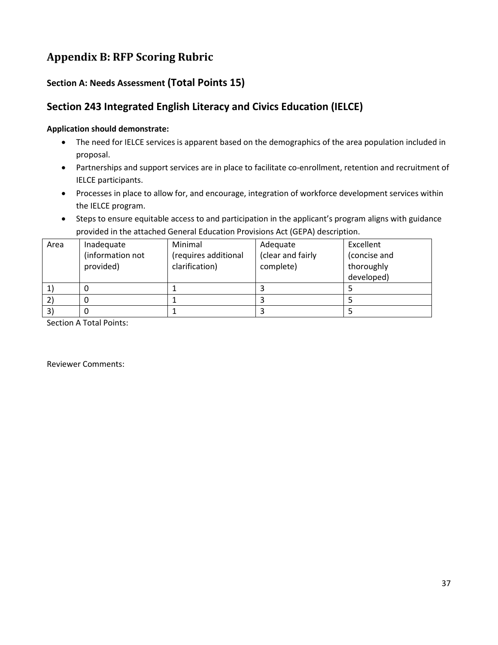# <span id="page-37-0"></span>**Appendix B: RFP Scoring Rubric**

# **Section A: Needs Assessment (Total Points 15)**

# **Section 243 Integrated English Literacy and Civics Education (IELCE)**

#### **Application should demonstrate:**

- The need for IELCE services is apparent based on the demographics of the area population included in proposal.
- Partnerships and support services are in place to facilitate co-enrollment, retention and recruitment of IELCE participants.
- Processes in place to allow for, and encourage, integration of workforce development services within the IELCE program.
- Steps to ensure equitable access to and participation in the applicant's program aligns with guidance provided in the attached General Education Provisions Act (GEPA) description.

| Area | Inadequate       | Minimal              | Adequate          | Excellent    |
|------|------------------|----------------------|-------------------|--------------|
|      | (information not | (requires additional | (clear and fairly | (concise and |
|      | provided)        | clarification)       | complete)         | thoroughly   |
|      |                  |                      |                   | developed)   |
|      |                  |                      |                   |              |
|      |                  |                      |                   |              |
| 3)   |                  |                      |                   |              |

Section A Total Points: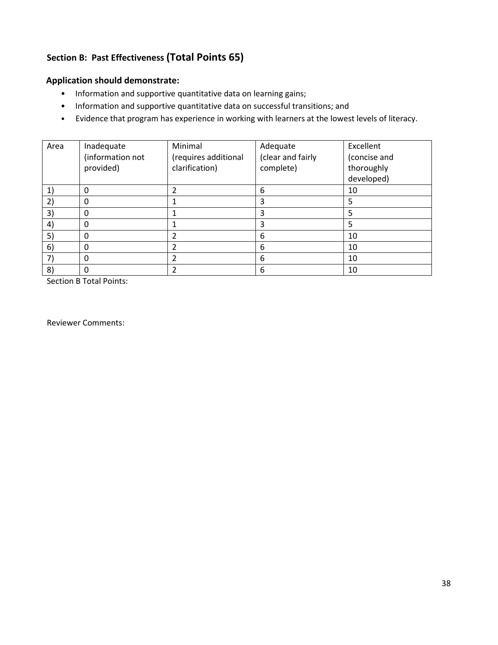# **Section B: Past Effectiveness (Total Points 65)**

#### **Application should demonstrate:**

- Information and supportive quantitative data on learning gains;
- Information and supportive quantitative data on successful transitions; and
- Evidence that program has experience in working with learners at the lowest levels of literacy.

| Area         | Inadequate       | Minimal              | Adequate          | Excellent    |
|--------------|------------------|----------------------|-------------------|--------------|
|              | (information not | (requires additional | (clear and fairly | (concise and |
|              | provided)        | clarification)       | complete)         | thoroughly   |
|              |                  |                      |                   | developed)   |
| $\mathbf{1}$ | 0                | 2                    | 6                 | 10           |
| 2)           | 0                |                      | 3                 | 5            |
| 3)           | 0                |                      | 3                 | 5            |
| 4)           | 0                |                      | 3                 | 5            |
| 5)           | 0                | 2                    | 6                 | 10           |
| 6)           | 0                | 2                    | 6                 | 10           |
| 7)           | 0                | 2                    | 6                 | 10           |
| 8)           | 0                |                      | 6                 | 10           |

Section B Total Points: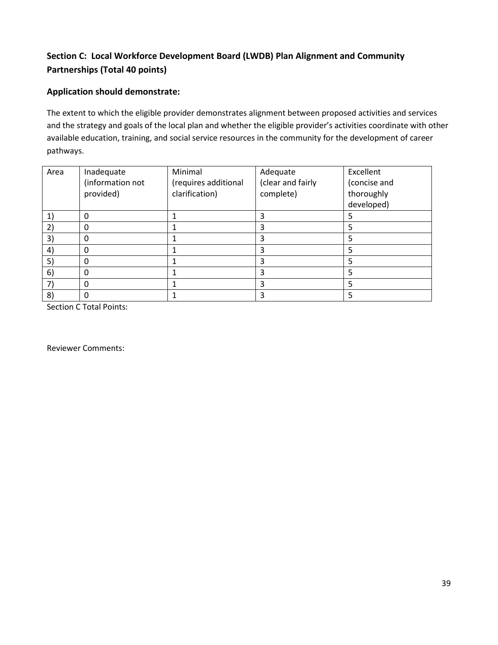# **Section C: Local Workforce Development Board (LWDB) Plan Alignment and Community Partnerships (Total 40 points)**

## **Application should demonstrate:**

The extent to which the eligible provider demonstrates alignment between proposed activities and services and the strategy and goals of the local plan and whether the eligible provider's activities coordinate with other available education, training, and social service resources in the community for the development of career pathways.

| Area         | Inadequate       | Minimal              | Adequate          | Excellent    |
|--------------|------------------|----------------------|-------------------|--------------|
|              | (information not | (requires additional | (clear and fairly | (concise and |
|              | provided)        | clarification)       | complete)         | thoroughly   |
|              |                  |                      |                   | developed)   |
| $\mathbf{1}$ | 0                |                      | 3                 | 5            |
| 2)           | $\mathbf{0}$     |                      | 3                 |              |
| 3)           | 0                |                      | 3                 | 5            |
| 4)           | 0                |                      | 3                 | 5            |
| 5)           | 0                |                      | 3                 | 5            |
| 6)           | 0                |                      | 3                 | 5            |
| 7)           | 0                |                      | 3                 | 5            |
| 8)           | 0                |                      | 3                 |              |

Section C Total Points: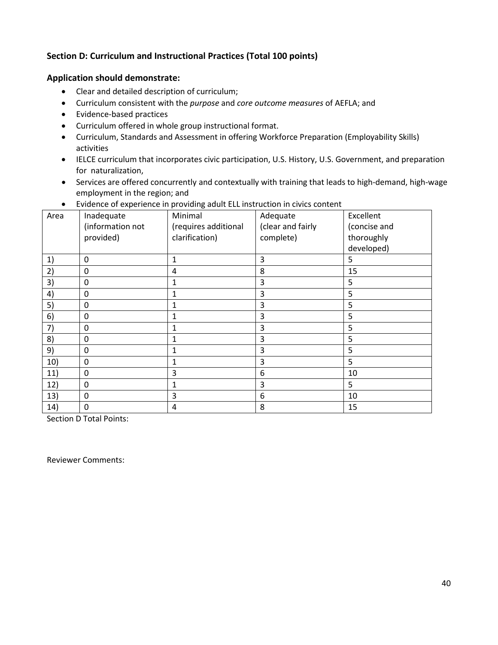### **Section D: Curriculum and Instructional Practices (Total 100 points)**

#### **Application should demonstrate:**

- Clear and detailed description of curriculum;
- Curriculum consistent with the *purpose* and *core outcome measures* of AEFLA; and
- Evidence-based practices
- Curriculum offered in whole group instructional format.
- Curriculum, Standards and Assessment in offering Workforce Preparation (Employability Skills) activities
- IELCE curriculum that incorporates civic participation, U.S. History, U.S. Government, and preparation for naturalization,
- Services are offered concurrently and contextually with training that leads to high-demand, high-wage employment in the region; and

|      | Lindence or experience in providing dadit LLL instruction in civits content |                      |                   |              |
|------|-----------------------------------------------------------------------------|----------------------|-------------------|--------------|
| Area | Inadequate                                                                  | Minimal              | Adequate          | Excellent    |
|      | (information not                                                            | (requires additional | (clear and fairly | (concise and |
|      | provided)                                                                   | clarification)       | complete)         | thoroughly   |
|      |                                                                             |                      |                   | developed)   |
| 1)   | $\mathbf 0$                                                                 | 1                    | 3                 | 5            |
| 2)   | $\mathbf 0$                                                                 | 4                    | 8                 | 15           |
| 3)   | 0                                                                           | 1                    | 3                 | 5            |
| 4)   | $\mathbf 0$                                                                 | 1                    | 3                 | 5            |
| 5)   | 0                                                                           | 1                    | 3                 | 5            |
| 6)   | $\mathbf 0$                                                                 | 1                    | 3                 | 5            |
| 7)   | $\mathbf 0$                                                                 | 1                    | 3                 | 5            |
| 8)   | $\mathbf 0$                                                                 | 1                    | 3                 | 5            |
| 9)   | $\mathbf 0$                                                                 | 1                    | 3                 | 5            |
| 10)  | $\mathbf 0$                                                                 | 1                    | 3                 | 5            |
| 11)  | $\mathbf{0}$                                                                | 3                    | 6                 | 10           |
| 12)  | $\mathbf{0}$                                                                | 1                    | 3                 | 5            |
| 13)  | 0                                                                           | 3                    | 6                 | 10           |
| 14)  | $\mathbf 0$                                                                 | 4                    | 8                 | 15           |

• Evidence of experience in providing adult ELL instruction in civics content

Section D Total Points: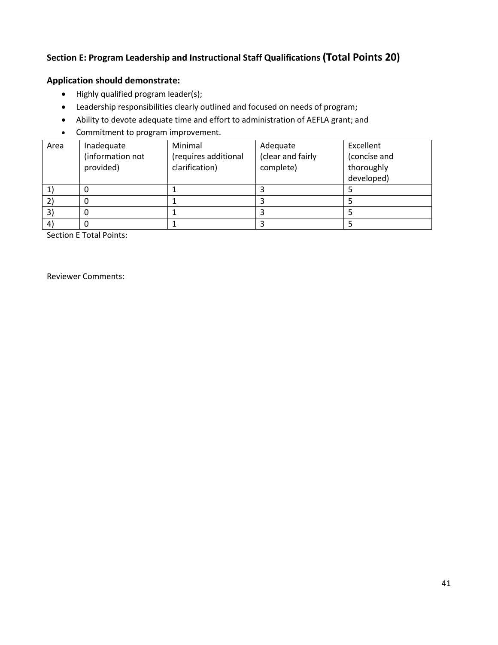# **Section E: Program Leadership and Instructional Staff Qualifications (Total Points 20)**

#### **Application should demonstrate:**

- Highly qualified program leader(s);
- Leadership responsibilities clearly outlined and focused on needs of program;
- Ability to devote adequate time and effort to administration of AEFLA grant; and
- Commitment to program improvement.

| Area | Inadequate       | Minimal              | Adequate          | Excellent    |
|------|------------------|----------------------|-------------------|--------------|
|      | (information not | (requires additional | (clear and fairly | (concise and |
|      | provided)        | clarification)       | complete)         | thoroughly   |
|      |                  |                      |                   | developed)   |
|      |                  |                      |                   |              |
| 2)   | υ                |                      |                   |              |
| 3)   |                  |                      |                   |              |
| 4)   |                  |                      |                   |              |

Section E Total Points: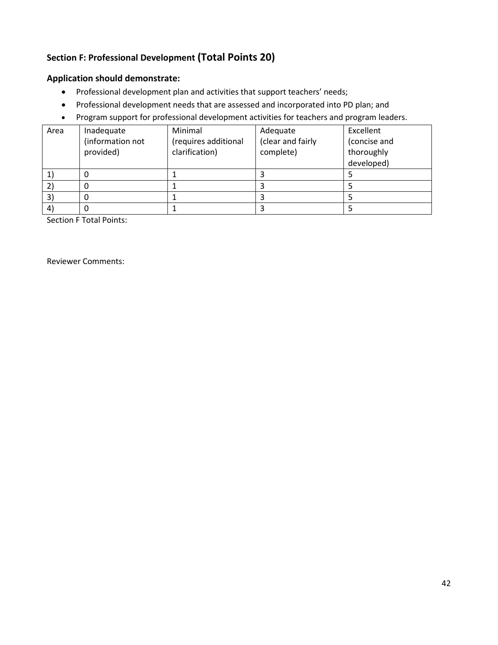# **Section F: Professional Development (Total Points 20)**

## **Application should demonstrate:**

- Professional development plan and activities that support teachers' needs;
- Professional development needs that are assessed and incorporated into PD plan; and
- Program support for professional development activities for teachers and program leaders.

| Area              | Inadequate<br>(information not<br>provided) | Minimal<br>(requires additional<br>clarification) | Adequate<br>(clear and fairly<br>complete) | Excellent<br>(concise and<br>thoroughly<br>developed) |
|-------------------|---------------------------------------------|---------------------------------------------------|--------------------------------------------|-------------------------------------------------------|
|                   |                                             |                                                   |                                            |                                                       |
| 2                 |                                             |                                                   |                                            |                                                       |
| 3)                |                                             |                                                   |                                            |                                                       |
| $\left( 4\right)$ |                                             |                                                   |                                            |                                                       |

Section F Total Points: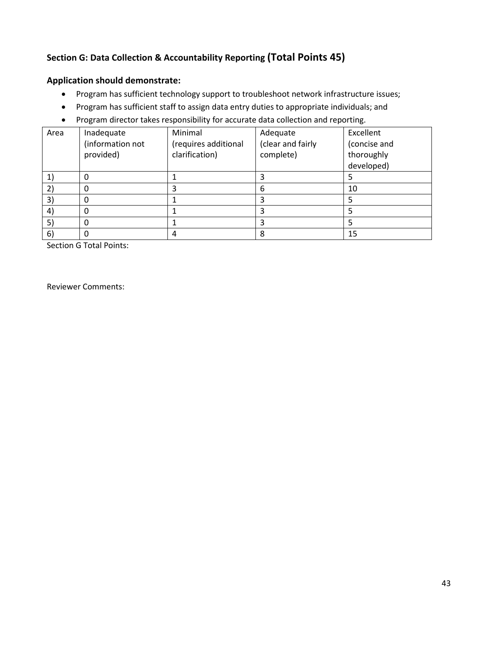# **Section G: Data Collection & Accountability Reporting (Total Points 45)**

### **Application should demonstrate:**

- Program has sufficient technology support to troubleshoot network infrastructure issues;
- Program has sufficient staff to assign data entry duties to appropriate individuals; and
- Program director takes responsibility for accurate data collection and reporting.

| Area | Inadequate       | Minimal              | Adequate          | Excellent    |
|------|------------------|----------------------|-------------------|--------------|
|      | (information not | (requires additional | (clear and fairly | (concise and |
|      | provided)        | clarification)       | complete)         | thoroughly   |
|      |                  |                      |                   | developed)   |
| 1)   | 0                |                      |                   |              |
| 2)   | 0                |                      | 6                 | 10           |
| 3)   | 0                |                      |                   |              |
| 4)   | 0                |                      |                   |              |
| 5)   | 0                |                      |                   |              |
| 6)   | 0                |                      | 8                 | 15           |

Section G Total Points: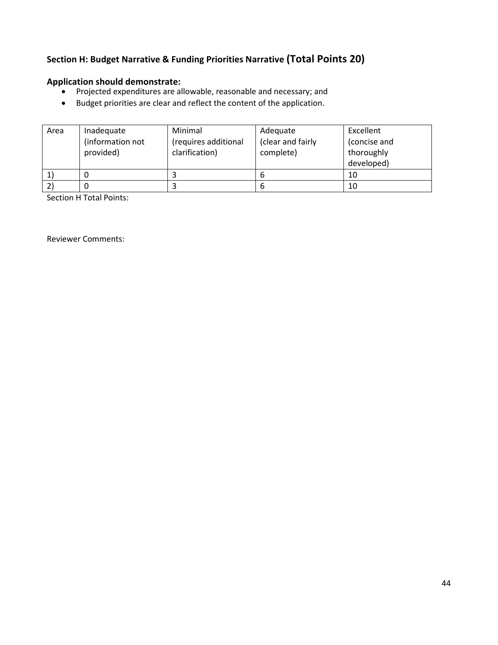# **Section H: Budget Narrative & Funding Priorities Narrative (Total Points 20)**

## **Application should demonstrate:**

- Projected expenditures are allowable, reasonable and necessary; and
- Budget priorities are clear and reflect the content of the application.

| Area | Inadequate<br>(information not<br>provided) | Minimal<br>(requires additional<br>clarification) | Adequate<br>(clear and fairly<br>complete) | Excellent<br>(concise and<br>thoroughly<br>developed) |
|------|---------------------------------------------|---------------------------------------------------|--------------------------------------------|-------------------------------------------------------|
|      |                                             |                                                   | O                                          | 10                                                    |
|      |                                             |                                                   | O                                          | 10                                                    |

Section H Total Points: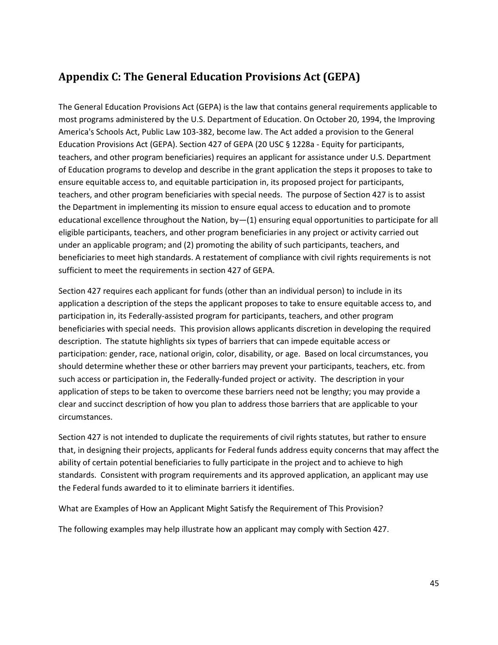# <span id="page-45-0"></span>**Appendix C: The General Education Provisions Act (GEPA)**

The General Education Provisions Act (GEPA) is the law that contains general requirements applicable to most programs administered by the U.S. Department of Education. On October 20, 1994, the Improving America's Schools Act, Public Law 103-382, become law. The Act added a provision to the General Education Provisions Act (GEPA). Section 427 of GEPA (20 USC § 1228a - Equity for participants, teachers, and other program beneficiaries) requires an applicant for assistance under U.S. Department of Education programs to develop and describe in the grant application the steps it proposes to take to ensure equitable access to, and equitable participation in, its proposed project for participants, teachers, and other program beneficiaries with special needs. The purpose of Section 427 is to assist the Department in implementing its mission to ensure equal access to education and to promote educational excellence throughout the Nation,  $by$   $-$  (1) ensuring equal opportunities to participate for all eligible participants, teachers, and other program beneficiaries in any project or activity carried out under an applicable program; and (2) promoting the ability of such participants, teachers, and beneficiaries to meet high standards. A restatement of compliance with civil rights requirements is not sufficient to meet the requirements in section 427 of GEPA.

Section 427 requires each applicant for funds (other than an individual person) to include in its application a description of the steps the applicant proposes to take to ensure equitable access to, and participation in, its Federally-assisted program for participants, teachers, and other program beneficiaries with special needs. This provision allows applicants discretion in developing the required description. The statute highlights six types of barriers that can impede equitable access or participation: gender, race, national origin, color, disability, or age. Based on local circumstances, you should determine whether these or other barriers may prevent your participants, teachers, etc. from such access or participation in, the Federally-funded project or activity. The description in your application of steps to be taken to overcome these barriers need not be lengthy; you may provide a clear and succinct description of how you plan to address those barriers that are applicable to your circumstances.

Section 427 is not intended to duplicate the requirements of civil rights statutes, but rather to ensure that, in designing their projects, applicants for Federal funds address equity concerns that may affect the ability of certain potential beneficiaries to fully participate in the project and to achieve to high standards. Consistent with program requirements and its approved application, an applicant may use the Federal funds awarded to it to eliminate barriers it identifies.

What are Examples of How an Applicant Might Satisfy the Requirement of This Provision?

The following examples may help illustrate how an applicant may comply with Section 427.